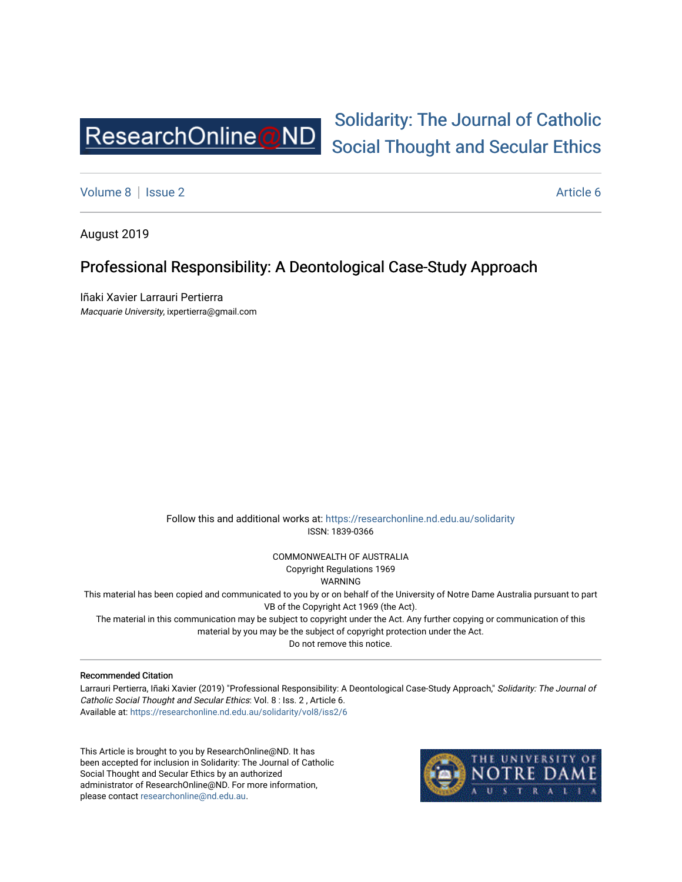

# [Solidarity: The Journal of Catholic](https://researchonline.nd.edu.au/solidarity)  [Social Thought and Secular Ethics](https://researchonline.nd.edu.au/solidarity)

[Volume 8](https://researchonline.nd.edu.au/solidarity/vol8) | [Issue 2](https://researchonline.nd.edu.au/solidarity/vol8/iss2) Article 6

August 2019

### Professional Responsibility: A Deontological Case-Study Approach

Iñaki Xavier Larrauri Pertierra Macquarie University, ixpertierra@gmail.com

> Follow this and additional works at: [https://researchonline.nd.edu.au/solidarity](https://researchonline.nd.edu.au/solidarity?utm_source=researchonline.nd.edu.au%2Fsolidarity%2Fvol8%2Fiss2%2F6&utm_medium=PDF&utm_campaign=PDFCoverPages)  ISSN: 1839-0366

> > COMMONWEALTH OF AUSTRALIA Copyright Regulations 1969

WARNING

This material has been copied and communicated to you by or on behalf of the University of Notre Dame Australia pursuant to part VB of the Copyright Act 1969 (the Act).

The material in this communication may be subject to copyright under the Act. Any further copying or communication of this material by you may be the subject of copyright protection under the Act.

Do not remove this notice.

#### Recommended Citation

Larrauri Pertierra, Iñaki Xavier (2019) "Professional Responsibility: A Deontological Case-Study Approach," Solidarity: The Journal of Catholic Social Thought and Secular Ethics: Vol. 8 : Iss. 2 , Article 6. Available at: [https://researchonline.nd.edu.au/solidarity/vol8/iss2/6](https://researchonline.nd.edu.au/solidarity/vol8/iss2/6?utm_source=researchonline.nd.edu.au%2Fsolidarity%2Fvol8%2Fiss2%2F6&utm_medium=PDF&utm_campaign=PDFCoverPages) 

This Article is brought to you by ResearchOnline@ND. It has been accepted for inclusion in Solidarity: The Journal of Catholic Social Thought and Secular Ethics by an authorized administrator of ResearchOnline@ND. For more information, please contact [researchonline@nd.edu.au.](mailto:researchonline@nd.edu.au)

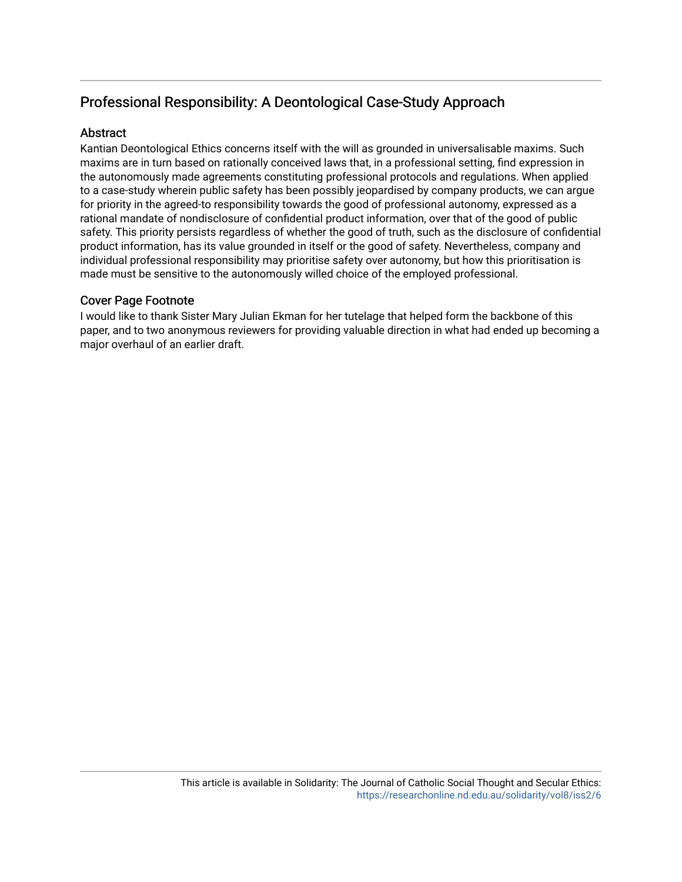## Professional Responsibility: A Deontological Case-Study Approach

#### **Abstract**

Kantian Deontological Ethics concerns itself with the will as grounded in universalisable maxims. Such maxims are in turn based on rationally conceived laws that, in a professional setting, find expression in the autonomously made agreements constituting professional protocols and regulations. When applied to a case-study wherein public safety has been possibly jeopardised by company products, we can argue for priority in the agreed-to responsibility towards the good of professional autonomy, expressed as a rational mandate of nondisclosure of confidential product information, over that of the good of public safety. This priority persists regardless of whether the good of truth, such as the disclosure of confidential product information, has its value grounded in itself or the good of safety. Nevertheless, company and individual professional responsibility may prioritise safety over autonomy, but how this prioritisation is made must be sensitive to the autonomously willed choice of the employed professional.

#### Cover Page Footnote

I would like to thank Sister Mary Julian Ekman for her tutelage that helped form the backbone of this paper, and to two anonymous reviewers for providing valuable direction in what had ended up becoming a major overhaul of an earlier draft.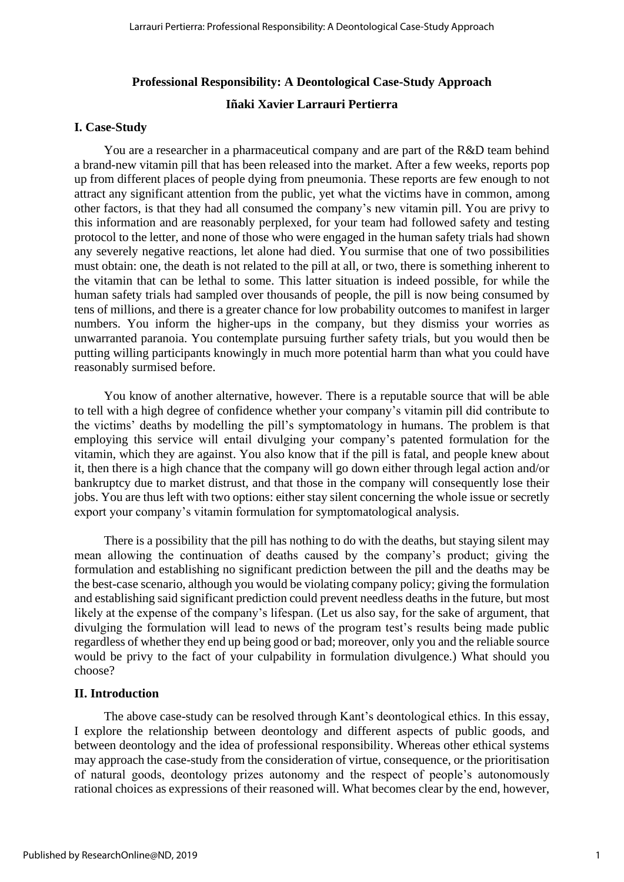### **Professional Responsibility: A Deontological Case-Study Approach**

#### **Iñaki Xavier Larrauri Pertierra**

#### **I. Case-Study**

You are a researcher in a pharmaceutical company and are part of the R&D team behind a brand-new vitamin pill that has been released into the market. After a few weeks, reports pop up from different places of people dying from pneumonia. These reports are few enough to not attract any significant attention from the public, yet what the victims have in common, among other factors, is that they had all consumed the company's new vitamin pill. You are privy to this information and are reasonably perplexed, for your team had followed safety and testing protocol to the letter, and none of those who were engaged in the human safety trials had shown any severely negative reactions, let alone had died. You surmise that one of two possibilities must obtain: one, the death is not related to the pill at all, or two, there is something inherent to the vitamin that can be lethal to some. This latter situation is indeed possible, for while the human safety trials had sampled over thousands of people, the pill is now being consumed by tens of millions, and there is a greater chance for low probability outcomes to manifest in larger numbers. You inform the higher-ups in the company, but they dismiss your worries as unwarranted paranoia. You contemplate pursuing further safety trials, but you would then be putting willing participants knowingly in much more potential harm than what you could have reasonably surmised before.

You know of another alternative, however. There is a reputable source that will be able to tell with a high degree of confidence whether your company's vitamin pill did contribute to the victims' deaths by modelling the pill's symptomatology in humans. The problem is that employing this service will entail divulging your company's patented formulation for the vitamin, which they are against. You also know that if the pill is fatal, and people knew about it, then there is a high chance that the company will go down either through legal action and/or bankruptcy due to market distrust, and that those in the company will consequently lose their jobs. You are thus left with two options: either stay silent concerning the whole issue or secretly export your company's vitamin formulation for symptomatological analysis.

There is a possibility that the pill has nothing to do with the deaths, but staying silent may mean allowing the continuation of deaths caused by the company's product; giving the formulation and establishing no significant prediction between the pill and the deaths may be the best-case scenario, although you would be violating company policy; giving the formulation and establishing said significant prediction could prevent needless deaths in the future, but most likely at the expense of the company's lifespan. (Let us also say, for the sake of argument, that divulging the formulation will lead to news of the program test's results being made public regardless of whether they end up being good or bad; moreover, only you and the reliable source would be privy to the fact of your culpability in formulation divulgence.) What should you choose?

#### **II. Introduction**

The above case-study can be resolved through Kant's deontological ethics. In this essay, I explore the relationship between deontology and different aspects of public goods, and between deontology and the idea of professional responsibility. Whereas other ethical systems may approach the case-study from the consideration of virtue, consequence, or the prioritisation of natural goods, deontology prizes autonomy and the respect of people's autonomously rational choices as expressions of their reasoned will. What becomes clear by the end, however,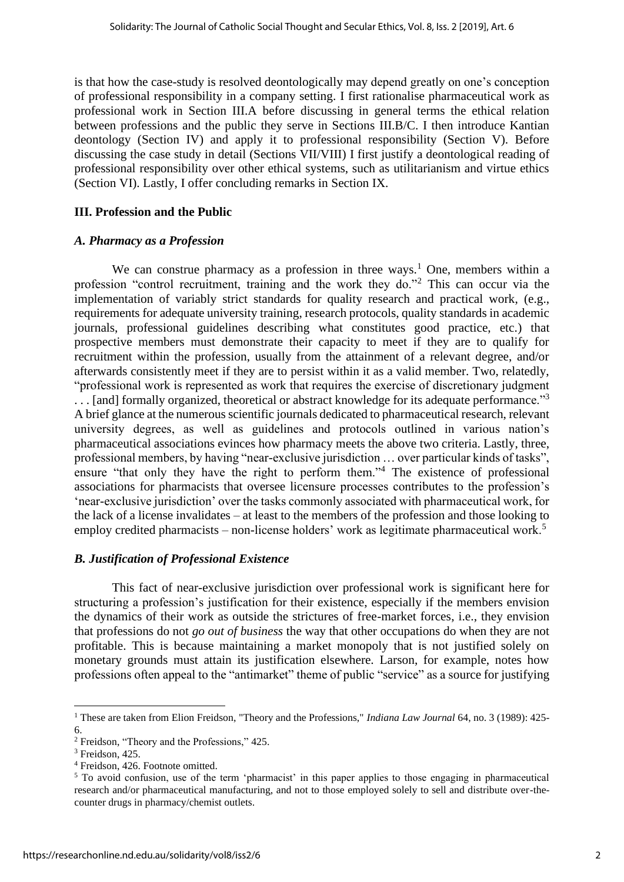is that how the case-study is resolved deontologically may depend greatly on one's conception of professional responsibility in a company setting. I first rationalise pharmaceutical work as professional work in Section III.A before discussing in general terms the ethical relation between professions and the public they serve in Sections III.B/C. I then introduce Kantian deontology (Section IV) and apply it to professional responsibility (Section V). Before discussing the case study in detail (Sections VII/VIII) I first justify a deontological reading of professional responsibility over other ethical systems, such as utilitarianism and virtue ethics (Section VI). Lastly, I offer concluding remarks in Section IX.

#### **III. Profession and the Public**

#### *A. Pharmacy as a Profession*

We can construe pharmacy as a profession in three ways.<sup>1</sup> One, members within a profession "control recruitment, training and the work they do."<sup>2</sup> This can occur via the implementation of variably strict standards for quality research and practical work, (e.g., requirements for adequate university training, research protocols, quality standards in academic journals, professional guidelines describing what constitutes good practice, etc.) that prospective members must demonstrate their capacity to meet if they are to qualify for recruitment within the profession, usually from the attainment of a relevant degree, and/or afterwards consistently meet if they are to persist within it as a valid member. Two, relatedly, "professional work is represented as work that requires the exercise of discretionary judgment ... [and] formally organized, theoretical or abstract knowledge for its adequate performance."<sup>3</sup> A brief glance at the numerous scientific journals dedicated to pharmaceutical research, relevant university degrees, as well as guidelines and protocols outlined in various nation's pharmaceutical associations evinces how pharmacy meets the above two criteria. Lastly, three, professional members, by having "near-exclusive jurisdiction … over particular kinds of tasks", ensure "that only they have the right to perform them."<sup>4</sup> The existence of professional associations for pharmacists that oversee licensure processes contributes to the profession's 'near-exclusive jurisdiction' over the tasks commonly associated with pharmaceutical work, for the lack of a license invalidates – at least to the members of the profession and those looking to employ credited pharmacists – non-license holders' work as legitimate pharmaceutical work.<sup>5</sup>

#### *B. Justification of Professional Existence*

This fact of near-exclusive jurisdiction over professional work is significant here for structuring a profession's justification for their existence, especially if the members envision the dynamics of their work as outside the strictures of free-market forces, i.e., they envision that professions do not *go out of business* the way that other occupations do when they are not profitable. This is because maintaining a market monopoly that is not justified solely on monetary grounds must attain its justification elsewhere. Larson, for example, notes how professions often appeal to the "antimarket" theme of public "service" as a source for justifying

<sup>1</sup> These are taken from Elion Freidson, "Theory and the Professions," *Indiana Law Journal* 64, no. 3 (1989): 425- 6.

<sup>2</sup> Freidson, "Theory and the Professions," 425.

<sup>&</sup>lt;sup>3</sup> Freidson, 425.

<sup>4</sup> Freidson, 426. Footnote omitted.

<sup>&</sup>lt;sup>5</sup> To avoid confusion, use of the term 'pharmacist' in this paper applies to those engaging in pharmaceutical research and/or pharmaceutical manufacturing, and not to those employed solely to sell and distribute over-thecounter drugs in pharmacy/chemist outlets.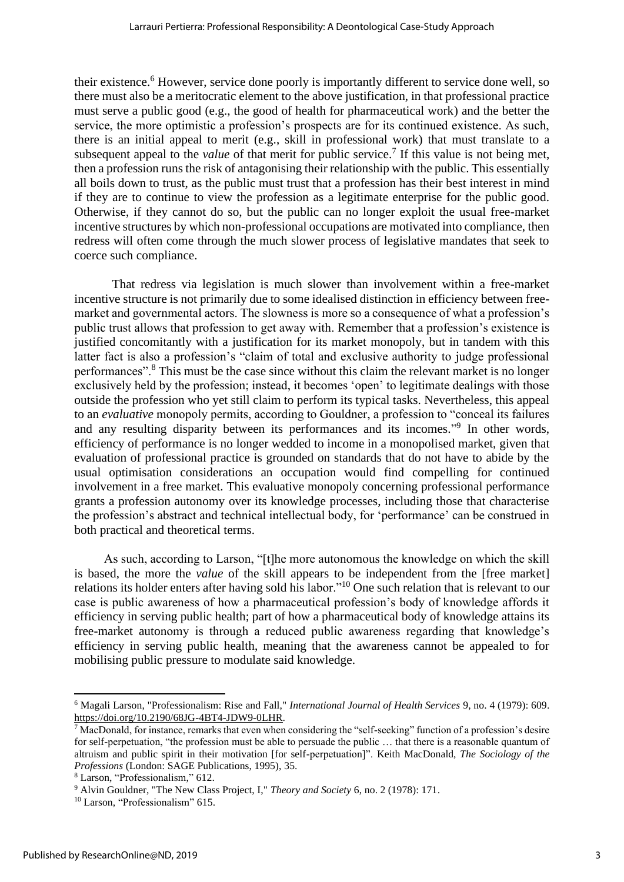their existence.<sup>6</sup> However, service done poorly is importantly different to service done well, so there must also be a meritocratic element to the above justification, in that professional practice must serve a public good (e.g., the good of health for pharmaceutical work) and the better the service, the more optimistic a profession's prospects are for its continued existence. As such, there is an initial appeal to merit (e.g., skill in professional work) that must translate to a subsequent appeal to the *value* of that merit for public service.<sup>7</sup> If this value is not being met, then a profession runs the risk of antagonising their relationship with the public. This essentially all boils down to trust, as the public must trust that a profession has their best interest in mind if they are to continue to view the profession as a legitimate enterprise for the public good. Otherwise, if they cannot do so, but the public can no longer exploit the usual free-market incentive structures by which non-professional occupations are motivated into compliance, then redress will often come through the much slower process of legislative mandates that seek to coerce such compliance.

That redress via legislation is much slower than involvement within a free-market incentive structure is not primarily due to some idealised distinction in efficiency between freemarket and governmental actors. The slowness is more so a consequence of what a profession's public trust allows that profession to get away with. Remember that a profession's existence is justified concomitantly with a justification for its market monopoly, but in tandem with this latter fact is also a profession's "claim of total and exclusive authority to judge professional performances".<sup>8</sup> This must be the case since without this claim the relevant market is no longer exclusively held by the profession; instead, it becomes 'open' to legitimate dealings with those outside the profession who yet still claim to perform its typical tasks. Nevertheless, this appeal to an *evaluative* monopoly permits, according to Gouldner, a profession to "conceal its failures and any resulting disparity between its performances and its incomes."<sup>9</sup> In other words, efficiency of performance is no longer wedded to income in a monopolised market, given that evaluation of professional practice is grounded on standards that do not have to abide by the usual optimisation considerations an occupation would find compelling for continued involvement in a free market. This evaluative monopoly concerning professional performance grants a profession autonomy over its knowledge processes, including those that characterise the profession's abstract and technical intellectual body, for 'performance' can be construed in both practical and theoretical terms.

As such, according to Larson, "[t]he more autonomous the knowledge on which the skill is based, the more the *value* of the skill appears to be independent from the [free market] relations its holder enters after having sold his labor."<sup>10</sup> One such relation that is relevant to our case is public awareness of how a pharmaceutical profession's body of knowledge affords it efficiency in serving public health; part of how a pharmaceutical body of knowledge attains its free-market autonomy is through a reduced public awareness regarding that knowledge's efficiency in serving public health, meaning that the awareness cannot be appealed to for mobilising public pressure to modulate said knowledge.

<sup>6</sup> Magali Larson, "Professionalism: Rise and Fall," *International Journal of Health Services* 9, no. 4 (1979): 609. [https://doi.org/10.2190/68JG-4BT4-JDW9-0LHR.](https://doi.org/10.2190/68JG-4BT4-JDW9-0LHR)

<sup>&</sup>lt;sup>7</sup> MacDonald, for instance, remarks that even when considering the "self-seeking" function of a profession's desire for self-perpetuation, "the profession must be able to persuade the public … that there is a reasonable quantum of altruism and public spirit in their motivation [for self-perpetuation]". Keith MacDonald, *The Sociology of the Professions* (London: SAGE Publications, 1995), 35.

<sup>8</sup> Larson, "Professionalism," 612.

<sup>9</sup> Alvin Gouldner, "The New Class Project, I," *Theory and Society* 6, no. 2 (1978): 171.

<sup>&</sup>lt;sup>10</sup> Larson, "Professionalism" 615.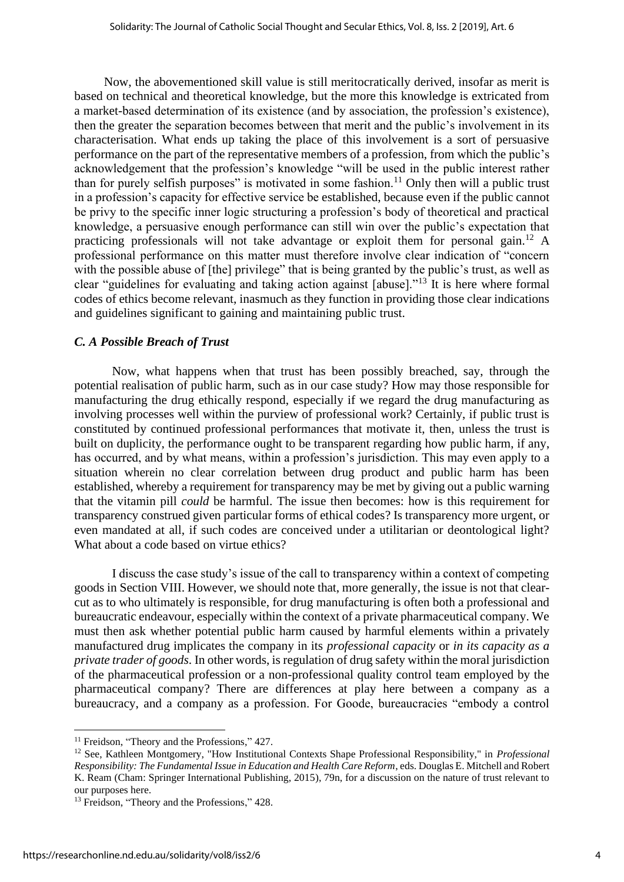Now, the abovementioned skill value is still meritocratically derived, insofar as merit is based on technical and theoretical knowledge, but the more this knowledge is extricated from a market-based determination of its existence (and by association, the profession's existence), then the greater the separation becomes between that merit and the public's involvement in its characterisation. What ends up taking the place of this involvement is a sort of persuasive performance on the part of the representative members of a profession, from which the public's acknowledgement that the profession's knowledge "will be used in the public interest rather than for purely selfish purposes" is motivated in some fashion.<sup>11</sup> Only then will a public trust in a profession's capacity for effective service be established, because even if the public cannot be privy to the specific inner logic structuring a profession's body of theoretical and practical knowledge, a persuasive enough performance can still win over the public's expectation that practicing professionals will not take advantage or exploit them for personal gain.<sup>12</sup> A professional performance on this matter must therefore involve clear indication of "concern with the possible abuse of [the] privilege" that is being granted by the public's trust, as well as clear "guidelines for evaluating and taking action against [abuse]."<sup>13</sup> It is here where formal codes of ethics become relevant, inasmuch as they function in providing those clear indications and guidelines significant to gaining and maintaining public trust.

#### *C. A Possible Breach of Trust*

Now, what happens when that trust has been possibly breached, say, through the potential realisation of public harm, such as in our case study? How may those responsible for manufacturing the drug ethically respond, especially if we regard the drug manufacturing as involving processes well within the purview of professional work? Certainly, if public trust is constituted by continued professional performances that motivate it, then, unless the trust is built on duplicity, the performance ought to be transparent regarding how public harm, if any, has occurred, and by what means, within a profession's jurisdiction. This may even apply to a situation wherein no clear correlation between drug product and public harm has been established, whereby a requirement for transparency may be met by giving out a public warning that the vitamin pill *could* be harmful. The issue then becomes: how is this requirement for transparency construed given particular forms of ethical codes? Is transparency more urgent, or even mandated at all, if such codes are conceived under a utilitarian or deontological light? What about a code based on virtue ethics?

I discuss the case study's issue of the call to transparency within a context of competing goods in Section VIII. However, we should note that, more generally, the issue is not that clearcut as to who ultimately is responsible, for drug manufacturing is often both a professional and bureaucratic endeavour, especially within the context of a private pharmaceutical company. We must then ask whether potential public harm caused by harmful elements within a privately manufactured drug implicates the company in its *professional capacity* or *in its capacity as a private trader of goods*. In other words, is regulation of drug safety within the moral jurisdiction of the pharmaceutical profession or a non-professional quality control team employed by the pharmaceutical company? There are differences at play here between a company as a bureaucracy, and a company as a profession. For Goode, bureaucracies "embody a control

<sup>&</sup>lt;sup>11</sup> Freidson, "Theory and the Professions," 427.

<sup>12</sup> See, Kathleen Montgomery, "How Institutional Contexts Shape Professional Responsibility," in *Professional Responsibility: The Fundamental Issue in Education and Health Care Reform*, eds. Douglas E. Mitchell and Robert K. Ream (Cham: Springer International Publishing, 2015), 79n, for a discussion on the nature of trust relevant to our purposes here.

<sup>&</sup>lt;sup>13</sup> Freidson, "Theory and the Professions," 428.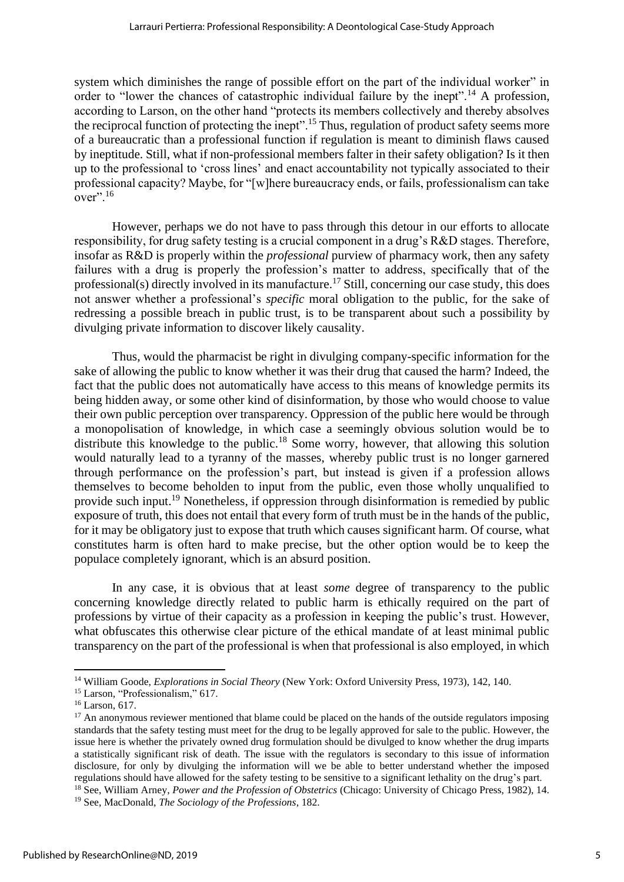system which diminishes the range of possible effort on the part of the individual worker" in order to "lower the chances of catastrophic individual failure by the inept".<sup>14</sup> A profession, according to Larson, on the other hand "protects its members collectively and thereby absolves the reciprocal function of protecting the inept".<sup>15</sup> Thus, regulation of product safety seems more of a bureaucratic than a professional function if regulation is meant to diminish flaws caused by ineptitude. Still, what if non-professional members falter in their safety obligation? Is it then up to the professional to 'cross lines' and enact accountability not typically associated to their professional capacity? Maybe, for "[w]here bureaucracy ends, or fails, professionalism can take  $over$ ".<sup>16</sup>

However, perhaps we do not have to pass through this detour in our efforts to allocate responsibility, for drug safety testing is a crucial component in a drug's R&D stages. Therefore, insofar as R&D is properly within the *professional* purview of pharmacy work, then any safety failures with a drug is properly the profession's matter to address, specifically that of the professional(s) directly involved in its manufacture.<sup>17</sup> Still, concerning our case study, this does not answer whether a professional's *specific* moral obligation to the public, for the sake of redressing a possible breach in public trust, is to be transparent about such a possibility by divulging private information to discover likely causality.

Thus, would the pharmacist be right in divulging company-specific information for the sake of allowing the public to know whether it was their drug that caused the harm? Indeed, the fact that the public does not automatically have access to this means of knowledge permits its being hidden away, or some other kind of disinformation, by those who would choose to value their own public perception over transparency. Oppression of the public here would be through a monopolisation of knowledge, in which case a seemingly obvious solution would be to distribute this knowledge to the public.<sup>18</sup> Some worry, however, that allowing this solution would naturally lead to a tyranny of the masses, whereby public trust is no longer garnered through performance on the profession's part, but instead is given if a profession allows themselves to become beholden to input from the public, even those wholly unqualified to provide such input.<sup>19</sup> Nonetheless, if oppression through disinformation is remedied by public exposure of truth, this does not entail that every form of truth must be in the hands of the public, for it may be obligatory just to expose that truth which causes significant harm. Of course, what constitutes harm is often hard to make precise, but the other option would be to keep the populace completely ignorant, which is an absurd position.

In any case, it is obvious that at least *some* degree of transparency to the public concerning knowledge directly related to public harm is ethically required on the part of professions by virtue of their capacity as a profession in keeping the public's trust. However, what obfuscates this otherwise clear picture of the ethical mandate of at least minimal public transparency on the part of the professional is when that professional is also employed, in which

<sup>14</sup> William Goode, *Explorations in Social Theory* (New York: Oxford University Press, 1973), 142, 140.

<sup>&</sup>lt;sup>15</sup> Larson, "Professionalism," 617.

<sup>16</sup> Larson, 617.

 $17$  An anonymous reviewer mentioned that blame could be placed on the hands of the outside regulators imposing standards that the safety testing must meet for the drug to be legally approved for sale to the public. However, the issue here is whether the privately owned drug formulation should be divulged to know whether the drug imparts a statistically significant risk of death. The issue with the regulators is secondary to this issue of information disclosure, for only by divulging the information will we be able to better understand whether the imposed regulations should have allowed for the safety testing to be sensitive to a significant lethality on the drug's part. <sup>18</sup> See, William Arney, *Power and the Profession of Obstetrics* (Chicago: University of Chicago Press, 1982), 14.

<sup>19</sup> See, MacDonald, *The Sociology of the Professions*, 182.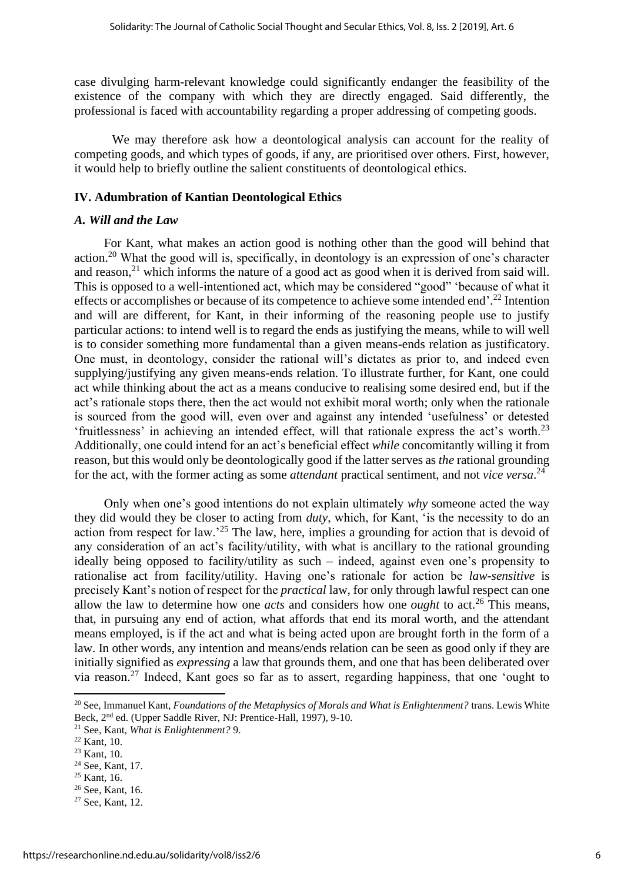case divulging harm-relevant knowledge could significantly endanger the feasibility of the existence of the company with which they are directly engaged. Said differently, the professional is faced with accountability regarding a proper addressing of competing goods.

We may therefore ask how a deontological analysis can account for the reality of competing goods, and which types of goods, if any, are prioritised over others. First, however, it would help to briefly outline the salient constituents of deontological ethics.

#### **IV. Adumbration of Kantian Deontological Ethics**

#### *A. Will and the Law*

For Kant, what makes an action good is nothing other than the good will behind that action.<sup>20</sup> What the good will is, specifically, in deontology is an expression of one's character and reason, $21$  which informs the nature of a good act as good when it is derived from said will. This is opposed to a well-intentioned act, which may be considered "good" 'because of what it effects or accomplishes or because of its competence to achieve some intended end'.<sup>22</sup> Intention and will are different, for Kant, in their informing of the reasoning people use to justify particular actions: to intend well is to regard the ends as justifying the means, while to will well is to consider something more fundamental than a given means-ends relation as justificatory. One must, in deontology, consider the rational will's dictates as prior to, and indeed even supplying/justifying any given means-ends relation. To illustrate further, for Kant, one could act while thinking about the act as a means conducive to realising some desired end, but if the act's rationale stops there, then the act would not exhibit moral worth; only when the rationale is sourced from the good will, even over and against any intended 'usefulness' or detested 'fruitlessness' in achieving an intended effect, will that rationale express the act's worth.<sup>23</sup> Additionally, one could intend for an act's beneficial effect *while* concomitantly willing it from reason, but this would only be deontologically good if the latter serves as *the* rational grounding for the act, with the former acting as some *attendant* practical sentiment, and not *vice versa*. 24

Only when one's good intentions do not explain ultimately *why* someone acted the way they did would they be closer to acting from *duty*, which, for Kant, 'is the necessity to do an action from respect for law.'<sup>25</sup> The law, here, implies a grounding for action that is devoid of any consideration of an act's facility/utility, with what is ancillary to the rational grounding ideally being opposed to facility/utility as such – indeed, against even one's propensity to rationalise act from facility/utility. Having one's rationale for action be *law-sensitive* is precisely Kant's notion of respect for the *practical* law, for only through lawful respect can one allow the law to determine how one *acts* and considers how one *ought* to act.<sup>26</sup> This means, that, in pursuing any end of action, what affords that end its moral worth, and the attendant means employed, is if the act and what is being acted upon are brought forth in the form of a law. In other words, any intention and means/ends relation can be seen as good only if they are initially signified as *expressing* a law that grounds them, and one that has been deliberated over via reason.<sup>27</sup> Indeed, Kant goes so far as to assert, regarding happiness, that one 'ought to

<sup>25</sup> Kant, 16.

<sup>&</sup>lt;sup>20</sup> See, Immanuel Kant, *Foundations of the Metaphysics of Morals and What is Enlightenment?* trans. Lewis White Beck, 2<sup>nd</sup> ed. (Upper Saddle River, NJ: Prentice-Hall, 1997), 9-10.

<sup>21</sup> See, Kant, *What is Enlightenment?* 9.

 $22$  Kant, 10.

 $23$  Kant, 10.

<sup>24</sup> See, Kant, 17.

<sup>&</sup>lt;sup>26</sup> See, Kant, 16.

<sup>27</sup> See, Kant, 12.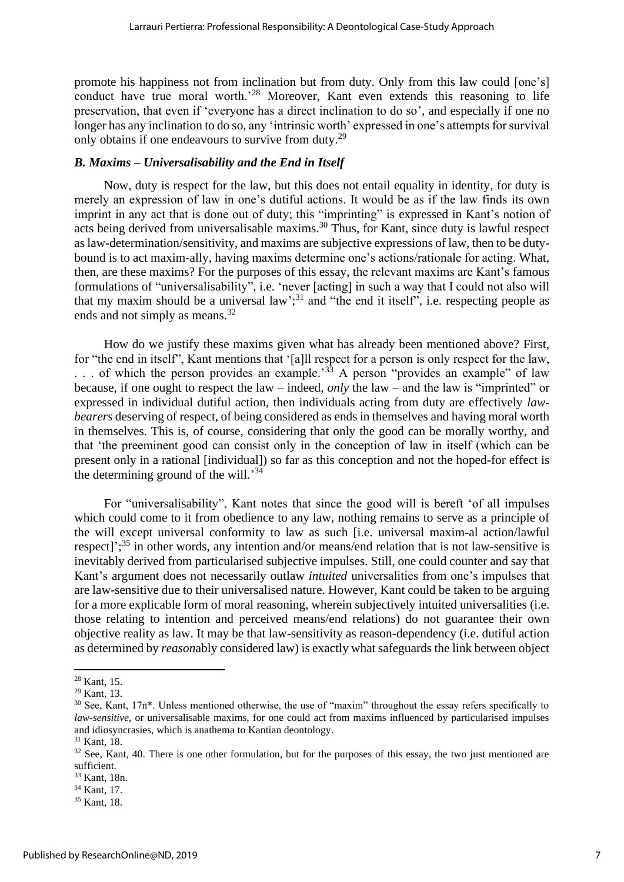promote his happiness not from inclination but from duty. Only from this law could [one's] conduct have true moral worth.<sup>28</sup> Moreover, Kant even extends this reasoning to life preservation, that even if 'everyone has a direct inclination to do so', and especially if one no longer has any inclination to do so, any 'intrinsic worth' expressed in one's attempts for survival only obtains if one endeavours to survive from duty.<sup>29</sup>

#### *B. Maxims – Universalisability and the End in Itself*

Now, duty is respect for the law, but this does not entail equality in identity, for duty is merely an expression of law in one's dutiful actions. It would be as if the law finds its own imprint in any act that is done out of duty; this "imprinting" is expressed in Kant's notion of acts being derived from universalisable maxims.<sup>30</sup> Thus, for Kant, since duty is lawful respect as law-determination/sensitivity, and maxims are subjective expressions of law, then to be dutybound is to act maxim-ally, having maxims determine one's actions/rationale for acting. What, then, are these maxims? For the purposes of this essay, the relevant maxims are Kant's famous formulations of "universalisability", i.e. 'never [acting] in such a way that I could not also will that my maxim should be a universal law';<sup>31</sup> and "the end it itself", i.e. respecting people as ends and not simply as means.<sup>32</sup>

How do we justify these maxims given what has already been mentioned above? First, for "the end in itself", Kant mentions that '[a]ll respect for a person is only respect for the law, ... of which the person provides an example.<sup>33</sup> A person "provides an example" of law because, if one ought to respect the law – indeed, *only* the law – and the law is "imprinted" or expressed in individual dutiful action, then individuals acting from duty are effectively *lawbearers* deserving of respect, of being considered as ends in themselves and having moral worth in themselves. This is, of course, considering that only the good can be morally worthy, and that 'the preeminent good can consist only in the conception of law in itself (which can be present only in a rational [individual]) so far as this conception and not the hoped-for effect is the determining ground of the will.<sup>34</sup>

For "universalisability", Kant notes that since the good will is bereft 'of all impulses which could come to it from obedience to any law, nothing remains to serve as a principle of the will except universal conformity to law as such [i.e. universal maxim-al action/lawful respect]';<sup>35</sup> in other words, any intention and/or means/end relation that is not law-sensitive is inevitably derived from particularised subjective impulses. Still, one could counter and say that Kant's argument does not necessarily outlaw *intuited* universalities from one's impulses that are law-sensitive due to their universalised nature. However, Kant could be taken to be arguing for a more explicable form of moral reasoning, wherein subjectively intuited universalities (i.e. those relating to intention and perceived means/end relations) do not guarantee their own objective reality as law. It may be that law-sensitivity as reason-dependency (i.e. dutiful action as determined by *reason*ably considered law) is exactly what safeguards the link between object

<sup>28</sup> Kant, 15.

<sup>29</sup> Kant, 13.

<sup>&</sup>lt;sup>30</sup> See, Kant, 17n<sup>\*</sup>. Unless mentioned otherwise, the use of "maxim" throughout the essay refers specifically to *law-sensitive*, or universalisable maxims, for one could act from maxims influenced by particularised impulses and idiosyncrasies, which is anathema to Kantian deontology.

<sup>31</sup> Kant, 18.

 $32$  See, Kant, 40. There is one other formulation, but for the purposes of this essay, the two just mentioned are sufficient.

<sup>33</sup> Kant, 18n.

<sup>34</sup> Kant, 17.

<sup>35</sup> Kant, 18.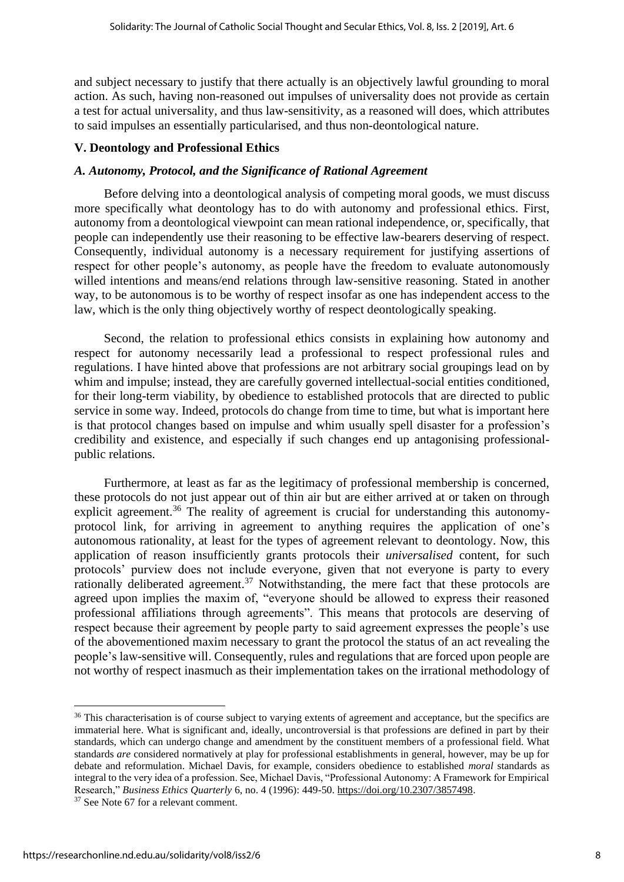and subject necessary to justify that there actually is an objectively lawful grounding to moral action. As such, having non-reasoned out impulses of universality does not provide as certain a test for actual universality, and thus law-sensitivity, as a reasoned will does, which attributes to said impulses an essentially particularised, and thus non-deontological nature.

#### **V. Deontology and Professional Ethics**

#### *A. Autonomy, Protocol, and the Significance of Rational Agreement*

Before delving into a deontological analysis of competing moral goods, we must discuss more specifically what deontology has to do with autonomy and professional ethics. First, autonomy from a deontological viewpoint can mean rational independence, or, specifically, that people can independently use their reasoning to be effective law-bearers deserving of respect. Consequently, individual autonomy is a necessary requirement for justifying assertions of respect for other people's autonomy, as people have the freedom to evaluate autonomously willed intentions and means/end relations through law-sensitive reasoning. Stated in another way, to be autonomous is to be worthy of respect insofar as one has independent access to the law, which is the only thing objectively worthy of respect deontologically speaking.

Second, the relation to professional ethics consists in explaining how autonomy and respect for autonomy necessarily lead a professional to respect professional rules and regulations. I have hinted above that professions are not arbitrary social groupings lead on by whim and impulse; instead, they are carefully governed intellectual-social entities conditioned, for their long-term viability, by obedience to established protocols that are directed to public service in some way. Indeed, protocols do change from time to time, but what is important here is that protocol changes based on impulse and whim usually spell disaster for a profession's credibility and existence, and especially if such changes end up antagonising professionalpublic relations.

Furthermore, at least as far as the legitimacy of professional membership is concerned, these protocols do not just appear out of thin air but are either arrived at or taken on through explicit agreement.<sup>36</sup> The reality of agreement is crucial for understanding this autonomyprotocol link, for arriving in agreement to anything requires the application of one's autonomous rationality, at least for the types of agreement relevant to deontology. Now, this application of reason insufficiently grants protocols their *universalised* content, for such protocols' purview does not include everyone, given that not everyone is party to every rationally deliberated agreement.<sup>37</sup> Notwithstanding, the mere fact that these protocols are agreed upon implies the maxim of, "everyone should be allowed to express their reasoned professional affiliations through agreements". This means that protocols are deserving of respect because their agreement by people party to said agreement expresses the people's use of the abovementioned maxim necessary to grant the protocol the status of an act revealing the people's law-sensitive will. Consequently, rules and regulations that are forced upon people are not worthy of respect inasmuch as their implementation takes on the irrational methodology of

<sup>&</sup>lt;sup>36</sup> This characterisation is of course subject to varying extents of agreement and acceptance, but the specifics are immaterial here. What is significant and, ideally, uncontroversial is that professions are defined in part by their standards, which can undergo change and amendment by the constituent members of a professional field. What standards *are* considered normatively at play for professional establishments in general, however, may be up for debate and reformulation. Michael Davis, for example, considers obedience to established *moral* standards as integral to the very idea of a profession. See, Michael Davis, "Professional Autonomy: A Framework for Empirical Research," *Business Ethics Quarterly* 6, no. 4 (1996): 449-50. [https://doi.org/10.2307/3857498.](https://doi.org/10.2307/3857498)

<sup>37</sup> See Note 67 for a relevant comment.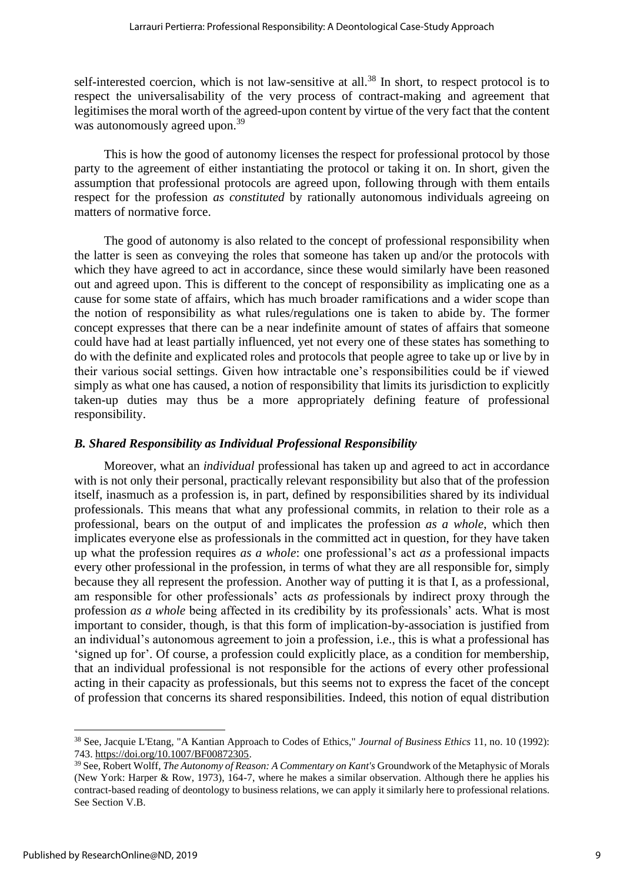self-interested coercion, which is not law-sensitive at all.<sup>38</sup> In short, to respect protocol is to respect the universalisability of the very process of contract-making and agreement that legitimises the moral worth of the agreed-upon content by virtue of the very fact that the content was autonomously agreed upon.<sup>39</sup>

This is how the good of autonomy licenses the respect for professional protocol by those party to the agreement of either instantiating the protocol or taking it on. In short, given the assumption that professional protocols are agreed upon, following through with them entails respect for the profession *as constituted* by rationally autonomous individuals agreeing on matters of normative force.

The good of autonomy is also related to the concept of professional responsibility when the latter is seen as conveying the roles that someone has taken up and/or the protocols with which they have agreed to act in accordance, since these would similarly have been reasoned out and agreed upon. This is different to the concept of responsibility as implicating one as a cause for some state of affairs, which has much broader ramifications and a wider scope than the notion of responsibility as what rules/regulations one is taken to abide by. The former concept expresses that there can be a near indefinite amount of states of affairs that someone could have had at least partially influenced, yet not every one of these states has something to do with the definite and explicated roles and protocols that people agree to take up or live by in their various social settings. Given how intractable one's responsibilities could be if viewed simply as what one has caused, a notion of responsibility that limits its jurisdiction to explicitly taken-up duties may thus be a more appropriately defining feature of professional responsibility.

#### *B. Shared Responsibility as Individual Professional Responsibility*

Moreover, what an *individual* professional has taken up and agreed to act in accordance with is not only their personal, practically relevant responsibility but also that of the profession itself, inasmuch as a profession is, in part, defined by responsibilities shared by its individual professionals. This means that what any professional commits, in relation to their role as a professional, bears on the output of and implicates the profession *as a whole*, which then implicates everyone else as professionals in the committed act in question, for they have taken up what the profession requires *as a whole*: one professional's act *as* a professional impacts every other professional in the profession, in terms of what they are all responsible for, simply because they all represent the profession. Another way of putting it is that I, as a professional, am responsible for other professionals' acts *as* professionals by indirect proxy through the profession *as a whole* being affected in its credibility by its professionals' acts. What is most important to consider, though, is that this form of implication-by-association is justified from an individual's autonomous agreement to join a profession, i.e., this is what a professional has 'signed up for'. Of course, a profession could explicitly place, as a condition for membership, that an individual professional is not responsible for the actions of every other professional acting in their capacity as professionals, but this seems not to express the facet of the concept of profession that concerns its shared responsibilities. Indeed, this notion of equal distribution

<sup>38</sup> See, Jacquie L'Etang, "A Kantian Approach to Codes of Ethics," *Journal of Business Ethics* 11, no. 10 (1992): 743. [https://doi.org/10.1007/BF00872305.](https://doi.org/10.1007/BF00872305)

<sup>39</sup> See, Robert Wolff, *The Autonomy of Reason: A Commentary on Kant's* Groundwork of the Metaphysic of Morals (New York: Harper & Row, 1973), 164-7, where he makes a similar observation. Although there he applies his contract-based reading of deontology to business relations, we can apply it similarly here to professional relations. See Section V.B.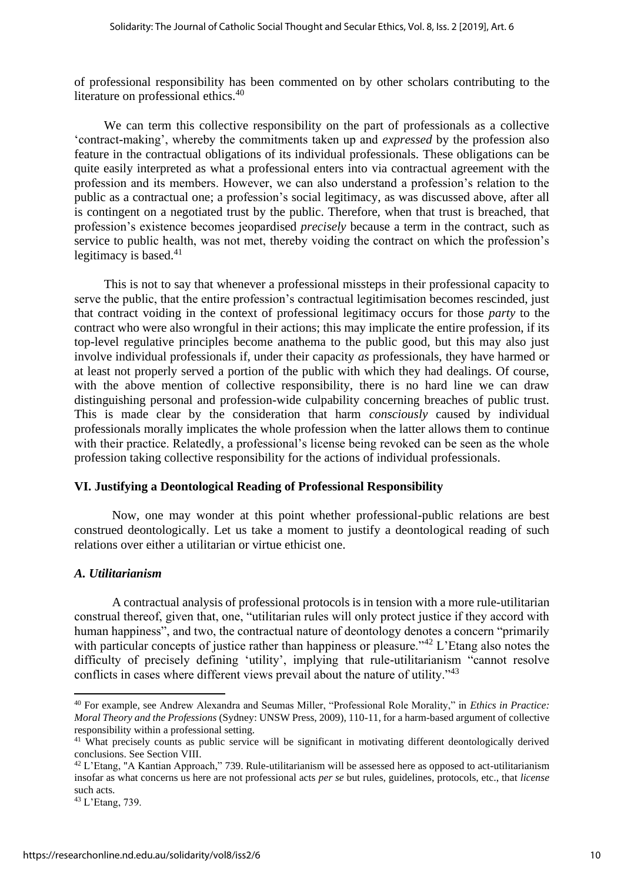of professional responsibility has been commented on by other scholars contributing to the literature on professional ethics.<sup>40</sup>

We can term this collective responsibility on the part of professionals as a collective 'contract-making', whereby the commitments taken up and *expressed* by the profession also feature in the contractual obligations of its individual professionals. These obligations can be quite easily interpreted as what a professional enters into via contractual agreement with the profession and its members. However, we can also understand a profession's relation to the public as a contractual one; a profession's social legitimacy, as was discussed above, after all is contingent on a negotiated trust by the public. Therefore, when that trust is breached, that profession's existence becomes jeopardised *precisely* because a term in the contract, such as service to public health, was not met, thereby voiding the contract on which the profession's legitimacy is based. $41$ 

This is not to say that whenever a professional missteps in their professional capacity to serve the public, that the entire profession's contractual legitimisation becomes rescinded, just that contract voiding in the context of professional legitimacy occurs for those *party* to the contract who were also wrongful in their actions; this may implicate the entire profession, if its top-level regulative principles become anathema to the public good, but this may also just involve individual professionals if, under their capacity *as* professionals, they have harmed or at least not properly served a portion of the public with which they had dealings. Of course, with the above mention of collective responsibility, there is no hard line we can draw distinguishing personal and profession-wide culpability concerning breaches of public trust. This is made clear by the consideration that harm *consciously* caused by individual professionals morally implicates the whole profession when the latter allows them to continue with their practice. Relatedly, a professional's license being revoked can be seen as the whole profession taking collective responsibility for the actions of individual professionals.

#### **VI. Justifying a Deontological Reading of Professional Responsibility**

Now, one may wonder at this point whether professional-public relations are best construed deontologically. Let us take a moment to justify a deontological reading of such relations over either a utilitarian or virtue ethicist one.

#### *A. Utilitarianism*

A contractual analysis of professional protocols is in tension with a more rule-utilitarian construal thereof, given that, one, "utilitarian rules will only protect justice if they accord with human happiness", and two, the contractual nature of deontology denotes a concern "primarily with particular concepts of justice rather than happiness or pleasure."<sup>42</sup> L'Etang also notes the difficulty of precisely defining 'utility', implying that rule-utilitarianism "cannot resolve conflicts in cases where different views prevail about the nature of utility."<sup>43</sup>

<sup>40</sup> For example, see Andrew Alexandra and Seumas Miller, "Professional Role Morality," in *Ethics in Practice: Moral Theory and the Professions* (Sydney: UNSW Press, 2009), 110-11, for a harm-based argument of collective responsibility within a professional setting.

<sup>&</sup>lt;sup>41</sup> What precisely counts as public service will be significant in motivating different deontologically derived conclusions. See Section VIII.

<sup>42</sup> L'Etang, "A Kantian Approach," 739. Rule-utilitarianism will be assessed here as opposed to act-utilitarianism insofar as what concerns us here are not professional acts *per se* but rules, guidelines, protocols, etc., that *license*  such acts.

<sup>43</sup> L'Etang, 739.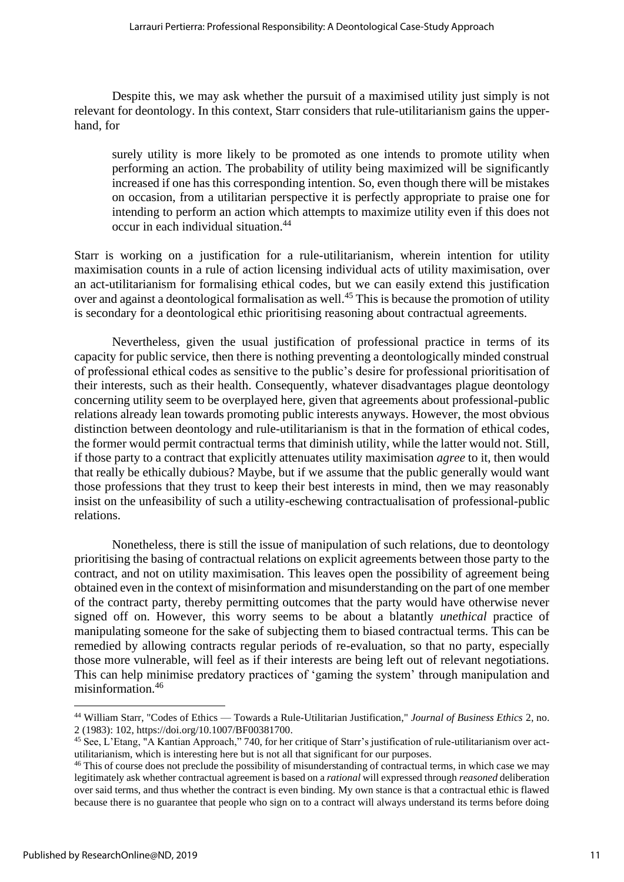Despite this, we may ask whether the pursuit of a maximised utility just simply is not relevant for deontology. In this context, Starr considers that rule-utilitarianism gains the upperhand, for

surely utility is more likely to be promoted as one intends to promote utility when performing an action. The probability of utility being maximized will be significantly increased if one has this corresponding intention. So, even though there will be mistakes on occasion, from a utilitarian perspective it is perfectly appropriate to praise one for intending to perform an action which attempts to maximize utility even if this does not occur in each individual situation.<sup>44</sup>

Starr is working on a justification for a rule-utilitarianism, wherein intention for utility maximisation counts in a rule of action licensing individual acts of utility maximisation, over an act-utilitarianism for formalising ethical codes, but we can easily extend this justification over and against a deontological formalisation as well.<sup>45</sup> This is because the promotion of utility is secondary for a deontological ethic prioritising reasoning about contractual agreements.

Nevertheless, given the usual justification of professional practice in terms of its capacity for public service, then there is nothing preventing a deontologically minded construal of professional ethical codes as sensitive to the public's desire for professional prioritisation of their interests, such as their health. Consequently, whatever disadvantages plague deontology concerning utility seem to be overplayed here, given that agreements about professional-public relations already lean towards promoting public interests anyways. However, the most obvious distinction between deontology and rule-utilitarianism is that in the formation of ethical codes, the former would permit contractual terms that diminish utility, while the latter would not. Still, if those party to a contract that explicitly attenuates utility maximisation *agree* to it, then would that really be ethically dubious? Maybe, but if we assume that the public generally would want those professions that they trust to keep their best interests in mind, then we may reasonably insist on the unfeasibility of such a utility-eschewing contractualisation of professional-public relations.

Nonetheless, there is still the issue of manipulation of such relations, due to deontology prioritising the basing of contractual relations on explicit agreements between those party to the contract, and not on utility maximisation. This leaves open the possibility of agreement being obtained even in the context of misinformation and misunderstanding on the part of one member of the contract party, thereby permitting outcomes that the party would have otherwise never signed off on. However, this worry seems to be about a blatantly *unethical* practice of manipulating someone for the sake of subjecting them to biased contractual terms. This can be remedied by allowing contracts regular periods of re-evaluation, so that no party, especially those more vulnerable, will feel as if their interests are being left out of relevant negotiations. This can help minimise predatory practices of 'gaming the system' through manipulation and misinformation.<sup>46</sup>

<sup>44</sup> William Starr, "Codes of Ethics — Towards a Rule-Utilitarian Justification," *Journal of Business Ethics* 2, no. 2 (1983): 102, [https://doi.org/10.1007/BF00381700.](https://doi.org/10.1007/BF00381700)

<sup>45</sup> See, L'Etang, "A Kantian Approach," 740, for her critique of Starr's justification of rule-utilitarianism over actutilitarianism, which is interesting here but is not all that significant for our purposes.

<sup>&</sup>lt;sup>46</sup> This of course does not preclude the possibility of misunderstanding of contractual terms, in which case we may legitimately ask whether contractual agreement is based on a *rational* will expressed through *reasoned* deliberation over said terms, and thus whether the contract is even binding. My own stance is that a contractual ethic is flawed because there is no guarantee that people who sign on to a contract will always understand its terms before doing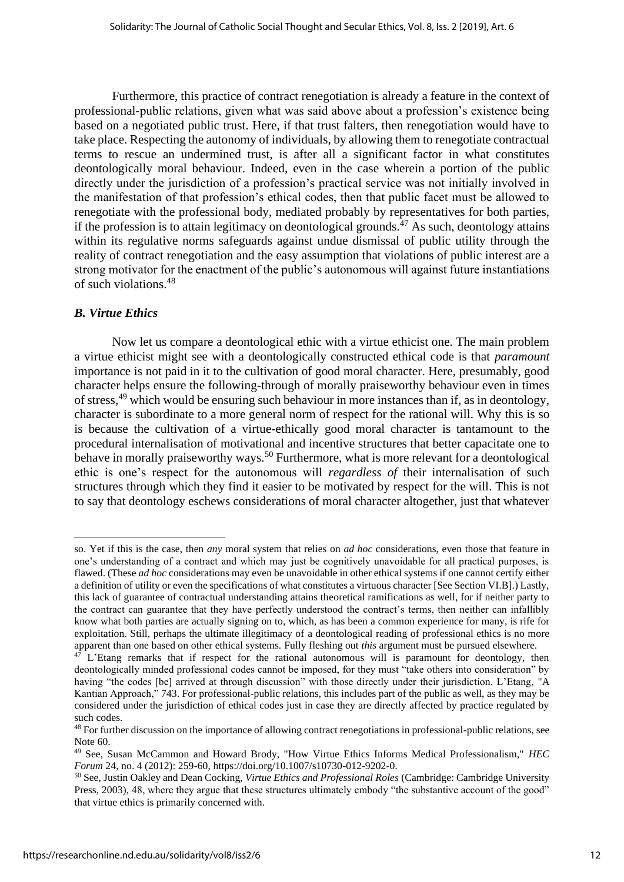Furthermore, this practice of contract renegotiation is already a feature in the context of professional-public relations, given what was said above about a profession's existence being based on a negotiated public trust. Here, if that trust falters, then renegotiation would have to take place. Respecting the autonomy of individuals, by allowing them to renegotiate contractual terms to rescue an undermined trust, is after all a significant factor in what constitutes deontologically moral behaviour. Indeed, even in the case wherein a portion of the public directly under the jurisdiction of a profession's practical service was not initially involved in the manifestation of that profession's ethical codes, then that public facet must be allowed to renegotiate with the professional body, mediated probably by representatives for both parties, if the profession is to attain legitimacy on deontological grounds.<sup>47</sup> As such, deontology attains within its regulative norms safeguards against undue dismissal of public utility through the reality of contract renegotiation and the easy assumption that violations of public interest are a strong motivator for the enactment of the public's autonomous will against future instantiations of such violations.<sup>48</sup>

#### *B. Virtue Ethics*

Now let us compare a deontological ethic with a virtue ethicist one. The main problem a virtue ethicist might see with a deontologically constructed ethical code is that *paramount* importance is not paid in it to the cultivation of good moral character. Here, presumably, good character helps ensure the following-through of morally praiseworthy behaviour even in times of stress,<sup>49</sup> which would be ensuring such behaviour in more instances than if, as in deontology, character is subordinate to a more general norm of respect for the rational will. Why this is so is because the cultivation of a virtue-ethically good moral character is tantamount to the procedural internalisation of motivational and incentive structures that better capacitate one to behave in morally praiseworthy ways.<sup>50</sup> Furthermore, what is more relevant for a deontological ethic is one's respect for the autonomous will *regardless of* their internalisation of such structures through which they find it easier to be motivated by respect for the will. This is not to say that deontology eschews considerations of moral character altogether, just that whatever

so. Yet if this is the case, then *any* moral system that relies on *ad hoc* considerations, even those that feature in one's understanding of a contract and which may just be cognitively unavoidable for all practical purposes, is flawed. (These *ad hoc* considerations may even be unavoidable in other ethical systems if one cannot certify either a definition of utility or even the specifications of what constitutes a virtuous character [See Section VI.B].) Lastly, this lack of guarantee of contractual understanding attains theoretical ramifications as well, for if neither party to the contract can guarantee that they have perfectly understood the contract's terms, then neither can infallibly know what both parties are actually signing on to, which, as has been a common experience for many, is rife for exploitation. Still, perhaps the ultimate illegitimacy of a deontological reading of professional ethics is no more apparent than one based on other ethical systems. Fully fleshing out *this* argument must be pursued elsewhere.

 $47$  L'Etang remarks that if respect for the rational autonomous will is paramount for deontology, then deontologically minded professional codes cannot be imposed, for they must "take others into consideration" by having "the codes [be] arrived at through discussion" with those directly under their jurisdiction. L'Etang, "A Kantian Approach," 743. For professional-public relations, this includes part of the public as well, as they may be considered under the jurisdiction of ethical codes just in case they are directly affected by practice regulated by such codes.

<sup>&</sup>lt;sup>48</sup> For further discussion on the importance of allowing contract renegotiations in professional-public relations, see Note 60.

<sup>49</sup> See, Susan McCammon and Howard Brody, "How Virtue Ethics Informs Medical Professionalism," *HEC Forum* 24, no. 4 (2012): 259-60[, https://doi.org/10.1007/s10730-012-9202-0.](https://doi.org/10.1007/s10730-012-9202-0)

<sup>50</sup> See, Justin Oakley and Dean Cocking, *Virtue Ethics and Professional Roles* (Cambridge: Cambridge University Press, 2003), 48, where they argue that these structures ultimately embody "the substantive account of the good" that virtue ethics is primarily concerned with.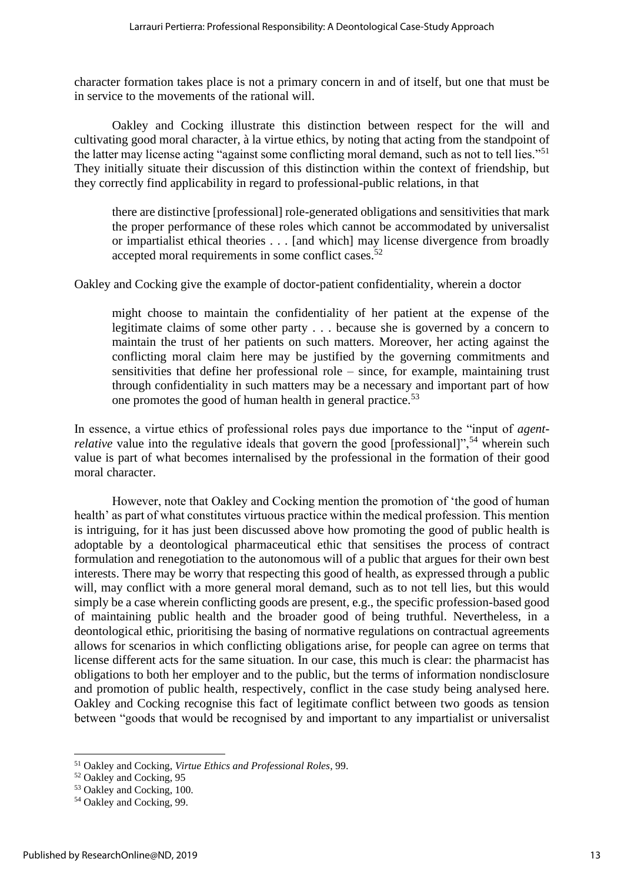character formation takes place is not a primary concern in and of itself, but one that must be in service to the movements of the rational will.

Oakley and Cocking illustrate this distinction between respect for the will and cultivating good moral character, à la virtue ethics, by noting that acting from the standpoint of the latter may license acting "against some conflicting moral demand, such as not to tell lies."<sup>51</sup> They initially situate their discussion of this distinction within the context of friendship, but they correctly find applicability in regard to professional-public relations, in that

there are distinctive [professional] role-generated obligations and sensitivities that mark the proper performance of these roles which cannot be accommodated by universalist or impartialist ethical theories . . . [and which] may license divergence from broadly accepted moral requirements in some conflict cases.<sup>52</sup>

Oakley and Cocking give the example of doctor-patient confidentiality, wherein a doctor

might choose to maintain the confidentiality of her patient at the expense of the legitimate claims of some other party . . . because she is governed by a concern to maintain the trust of her patients on such matters. Moreover, her acting against the conflicting moral claim here may be justified by the governing commitments and sensitivities that define her professional role – since, for example, maintaining trust through confidentiality in such matters may be a necessary and important part of how one promotes the good of human health in general practice.<sup>53</sup>

In essence, a virtue ethics of professional roles pays due importance to the "input of *agentrelative* value into the regulative ideals that govern the good [professional]",<sup>54</sup> wherein such value is part of what becomes internalised by the professional in the formation of their good moral character.

However, note that Oakley and Cocking mention the promotion of 'the good of human health' as part of what constitutes virtuous practice within the medical profession. This mention is intriguing, for it has just been discussed above how promoting the good of public health is adoptable by a deontological pharmaceutical ethic that sensitises the process of contract formulation and renegotiation to the autonomous will of a public that argues for their own best interests. There may be worry that respecting this good of health, as expressed through a public will, may conflict with a more general moral demand, such as to not tell lies, but this would simply be a case wherein conflicting goods are present, e.g., the specific profession-based good of maintaining public health and the broader good of being truthful. Nevertheless, in a deontological ethic, prioritising the basing of normative regulations on contractual agreements allows for scenarios in which conflicting obligations arise, for people can agree on terms that license different acts for the same situation. In our case, this much is clear: the pharmacist has obligations to both her employer and to the public, but the terms of information nondisclosure and promotion of public health, respectively, conflict in the case study being analysed here. Oakley and Cocking recognise this fact of legitimate conflict between two goods as tension between "goods that would be recognised by and important to any impartialist or universalist

<sup>51</sup> Oakley and Cocking, *Virtue Ethics and Professional Roles*, 99.

<sup>52</sup> Oakley and Cocking, 95

<sup>&</sup>lt;sup>53</sup> Oakley and Cocking, 100.

<sup>54</sup> Oakley and Cocking, 99.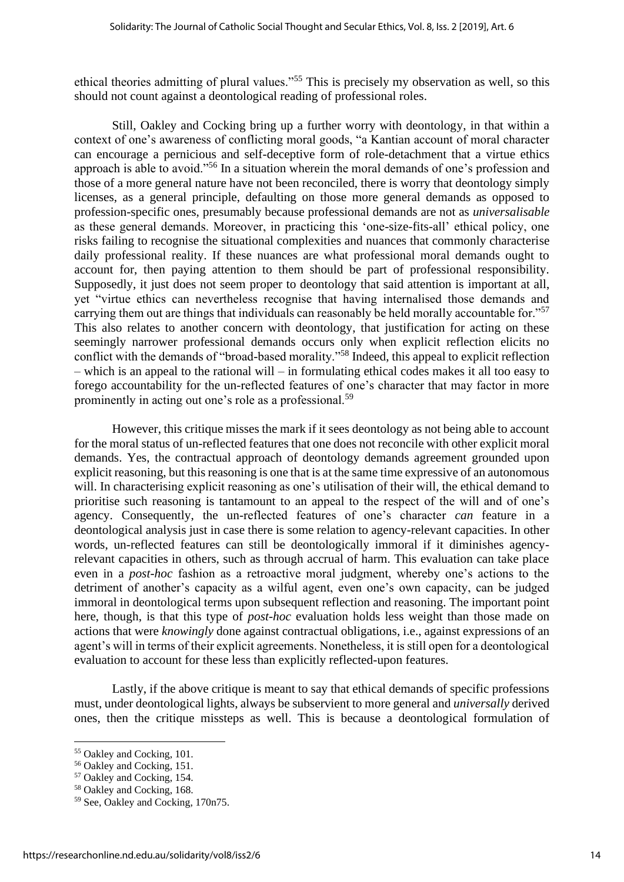ethical theories admitting of plural values."<sup>55</sup> This is precisely my observation as well, so this should not count against a deontological reading of professional roles.

Still, Oakley and Cocking bring up a further worry with deontology, in that within a context of one's awareness of conflicting moral goods, "a Kantian account of moral character can encourage a pernicious and self-deceptive form of role-detachment that a virtue ethics approach is able to avoid."<sup>56</sup> In a situation wherein the moral demands of one's profession and those of a more general nature have not been reconciled, there is worry that deontology simply licenses, as a general principle, defaulting on those more general demands as opposed to profession-specific ones, presumably because professional demands are not as *universalisable* as these general demands. Moreover, in practicing this 'one-size-fits-all' ethical policy, one risks failing to recognise the situational complexities and nuances that commonly characterise daily professional reality. If these nuances are what professional moral demands ought to account for, then paying attention to them should be part of professional responsibility. Supposedly, it just does not seem proper to deontology that said attention is important at all, yet "virtue ethics can nevertheless recognise that having internalised those demands and carrying them out are things that individuals can reasonably be held morally accountable for."<sup>57</sup> This also relates to another concern with deontology, that justification for acting on these seemingly narrower professional demands occurs only when explicit reflection elicits no conflict with the demands of "broad-based morality."<sup>58</sup> Indeed, this appeal to explicit reflection – which is an appeal to the rational will – in formulating ethical codes makes it all too easy to forego accountability for the un-reflected features of one's character that may factor in more prominently in acting out one's role as a professional.<sup>59</sup>

However, this critique misses the mark if it sees deontology as not being able to account for the moral status of un-reflected features that one does not reconcile with other explicit moral demands. Yes, the contractual approach of deontology demands agreement grounded upon explicit reasoning, but this reasoning is one that is at the same time expressive of an autonomous will. In characterising explicit reasoning as one's utilisation of their will, the ethical demand to prioritise such reasoning is tantamount to an appeal to the respect of the will and of one's agency. Consequently, the un-reflected features of one's character *can* feature in a deontological analysis just in case there is some relation to agency-relevant capacities. In other words, un-reflected features can still be deontologically immoral if it diminishes agencyrelevant capacities in others, such as through accrual of harm. This evaluation can take place even in a *post-hoc* fashion as a retroactive moral judgment, whereby one's actions to the detriment of another's capacity as a wilful agent, even one's own capacity, can be judged immoral in deontological terms upon subsequent reflection and reasoning. The important point here, though, is that this type of *post-hoc* evaluation holds less weight than those made on actions that were *knowingly* done against contractual obligations, i.e., against expressions of an agent's will in terms of their explicit agreements. Nonetheless, it is still open for a deontological evaluation to account for these less than explicitly reflected-upon features.

Lastly, if the above critique is meant to say that ethical demands of specific professions must, under deontological lights, always be subservient to more general and *universally* derived ones, then the critique missteps as well. This is because a deontological formulation of

<sup>55</sup> Oakley and Cocking, 101.

<sup>56</sup> Oakley and Cocking, 151.

<sup>57</sup> Oakley and Cocking, 154.

<sup>58</sup> Oakley and Cocking, 168.

<sup>59</sup> See, Oakley and Cocking, 170n75.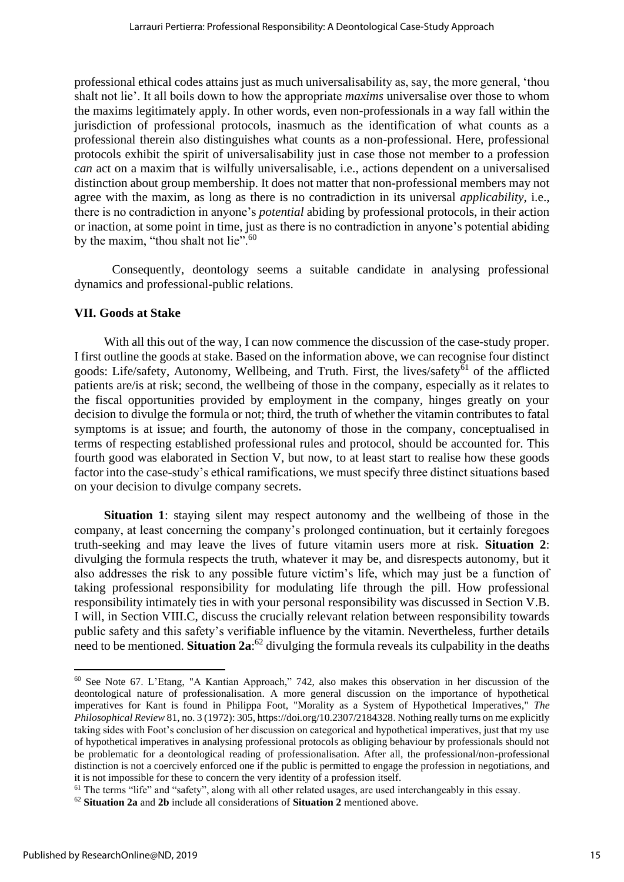professional ethical codes attains just as much universalisability as, say, the more general, 'thou shalt not lie'. It all boils down to how the appropriate *maxims* universalise over those to whom the maxims legitimately apply. In other words, even non-professionals in a way fall within the jurisdiction of professional protocols, inasmuch as the identification of what counts as a professional therein also distinguishes what counts as a non-professional. Here, professional protocols exhibit the spirit of universalisability just in case those not member to a profession *can* act on a maxim that is wilfully universalisable, i.e., actions dependent on a universalised distinction about group membership. It does not matter that non-professional members may not agree with the maxim, as long as there is no contradiction in its universal *applicability*, i.e., there is no contradiction in anyone's *potential* abiding by professional protocols, in their action or inaction, at some point in time, just as there is no contradiction in anyone's potential abiding by the maxim, "thou shalt not lie".<sup>60</sup>

Consequently, deontology seems a suitable candidate in analysing professional dynamics and professional-public relations.

#### **VII. Goods at Stake**

With all this out of the way, I can now commence the discussion of the case-study proper. I first outline the goods at stake. Based on the information above, we can recognise four distinct goods: Life/safety, Autonomy, Wellbeing, and Truth. First, the lives/safety<sup>61</sup> of the afflicted patients are/is at risk; second, the wellbeing of those in the company, especially as it relates to the fiscal opportunities provided by employment in the company, hinges greatly on your decision to divulge the formula or not; third, the truth of whether the vitamin contributes to fatal symptoms is at issue; and fourth, the autonomy of those in the company, conceptualised in terms of respecting established professional rules and protocol, should be accounted for. This fourth good was elaborated in Section V, but now, to at least start to realise how these goods factor into the case-study's ethical ramifications, we must specify three distinct situations based on your decision to divulge company secrets.

**Situation 1**: staying silent may respect autonomy and the wellbeing of those in the company, at least concerning the company's prolonged continuation, but it certainly foregoes truth-seeking and may leave the lives of future vitamin users more at risk. **Situation 2**: divulging the formula respects the truth, whatever it may be, and disrespects autonomy, but it also addresses the risk to any possible future victim's life, which may just be a function of taking professional responsibility for modulating life through the pill. How professional responsibility intimately ties in with your personal responsibility was discussed in Section V.B. I will, in Section VIII.C, discuss the crucially relevant relation between responsibility towards public safety and this safety's verifiable influence by the vitamin. Nevertheless, further details need to be mentioned. **Situation 2a**: <sup>62</sup> divulging the formula reveals its culpability in the deaths

<sup>60</sup> See Note 67. L'Etang, "A Kantian Approach," 742, also makes this observation in her discussion of the deontological nature of professionalisation. A more general discussion on the importance of hypothetical imperatives for Kant is found in Philippa Foot, "Morality as a System of Hypothetical Imperatives," *The Philosophical Review* 81, no. 3 (1972): 305[, https://doi.org/10.2307/2184328.](https://doi.org/10.2307/2184328) Nothing really turns on me explicitly taking sides with Foot's conclusion of her discussion on categorical and hypothetical imperatives, just that my use of hypothetical imperatives in analysing professional protocols as obliging behaviour by professionals should not be problematic for a deontological reading of professionalisation. After all, the professional/non-professional distinction is not a coercively enforced one if the public is permitted to engage the profession in negotiations, and it is not impossible for these to concern the very identity of a profession itself.

<sup>&</sup>lt;sup>61</sup> The terms "life" and "safety", along with all other related usages, are used interchangeably in this essay.

<sup>62</sup> **Situation 2a** and **2b** include all considerations of **Situation 2** mentioned above.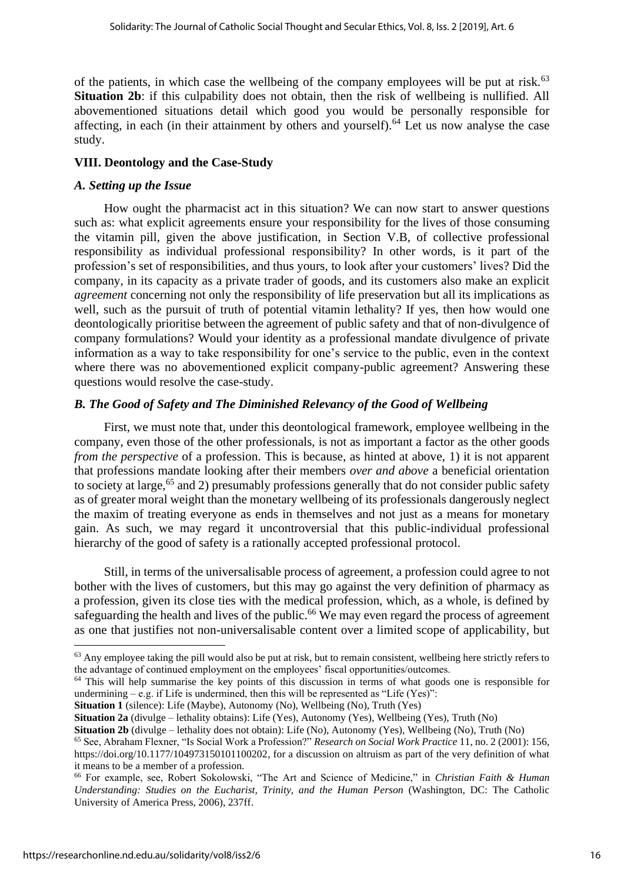of the patients, in which case the wellbeing of the company employees will be put at risk.<sup>63</sup> **Situation 2b**: if this culpability does not obtain, then the risk of wellbeing is nullified. All abovementioned situations detail which good you would be personally responsible for affecting, in each (in their attainment by others and yourself).<sup>64</sup> Let us now analyse the case study.

#### **VIII. Deontology and the Case-Study**

#### *A. Setting up the Issue*

How ought the pharmacist act in this situation? We can now start to answer questions such as: what explicit agreements ensure your responsibility for the lives of those consuming the vitamin pill, given the above justification, in Section V.B, of collective professional responsibility as individual professional responsibility? In other words, is it part of the profession's set of responsibilities, and thus yours, to look after your customers' lives? Did the company, in its capacity as a private trader of goods, and its customers also make an explicit *agreement* concerning not only the responsibility of life preservation but all its implications as well, such as the pursuit of truth of potential vitamin lethality? If yes, then how would one deontologically prioritise between the agreement of public safety and that of non-divulgence of company formulations? Would your identity as a professional mandate divulgence of private information as a way to take responsibility for one's service to the public, even in the context where there was no abovementioned explicit company-public agreement? Answering these questions would resolve the case-study.

#### *B. The Good of Safety and The Diminished Relevancy of the Good of Wellbeing*

First, we must note that, under this deontological framework, employee wellbeing in the company, even those of the other professionals, is not as important a factor as the other goods *from the perspective* of a profession. This is because, as hinted at above, 1) it is not apparent that professions mandate looking after their members *over and above* a beneficial orientation to society at large,<sup>65</sup> and 2) presumably professions generally that do not consider public safety as of greater moral weight than the monetary wellbeing of its professionals dangerously neglect the maxim of treating everyone as ends in themselves and not just as a means for monetary gain. As such, we may regard it uncontroversial that this public-individual professional hierarchy of the good of safety is a rationally accepted professional protocol.

Still, in terms of the universalisable process of agreement, a profession could agree to not bother with the lives of customers, but this may go against the very definition of pharmacy as a profession, given its close ties with the medical profession, which, as a whole, is defined by safeguarding the health and lives of the public.<sup>66</sup> We may even regard the process of agreement as one that justifies not non-universalisable content over a limited scope of applicability, but

**Situation 1** (silence): Life (Maybe), Autonomy (No), Wellbeing (No), Truth (Yes)

**Situation 2a** (divulge – lethality obtains): Life (Yes), Autonomy (Yes), Wellbeing (Yes), Truth (No)

 $<sup>63</sup>$  Any employee taking the pill would also be put at risk, but to remain consistent, wellbeing here strictly refers to</sup> the advantage of continued employment on the employees' fiscal opportunities/outcomes.

<sup>64</sup> This will help summarise the key points of this discussion in terms of what goods one is responsible for undermining  $-$  e.g. if Life is undermined, then this will be represented as "Life (Yes)":

**Situation 2b** (divulge – lethality does not obtain): Life (No), Autonomy (Yes), Wellbeing (No), Truth (No)

<sup>65</sup> See, Abraham Flexner, "Is Social Work a Profession?" *Research on Social Work Practice* 11, no. 2 (2001): 156, [https://doi.org/10.1177/104973150101100202,](https://doi.org/10.1177/104973150101100202) for a discussion on altruism as part of the very definition of what it means to be a member of a profession.

<sup>66</sup> For example, see, Robert Sokolowski, "The Art and Science of Medicine," in *Christian Faith & Human Understanding: Studies on the Eucharist, Trinity, and the Human Person* (Washington, DC: The Catholic University of America Press, 2006), 237ff.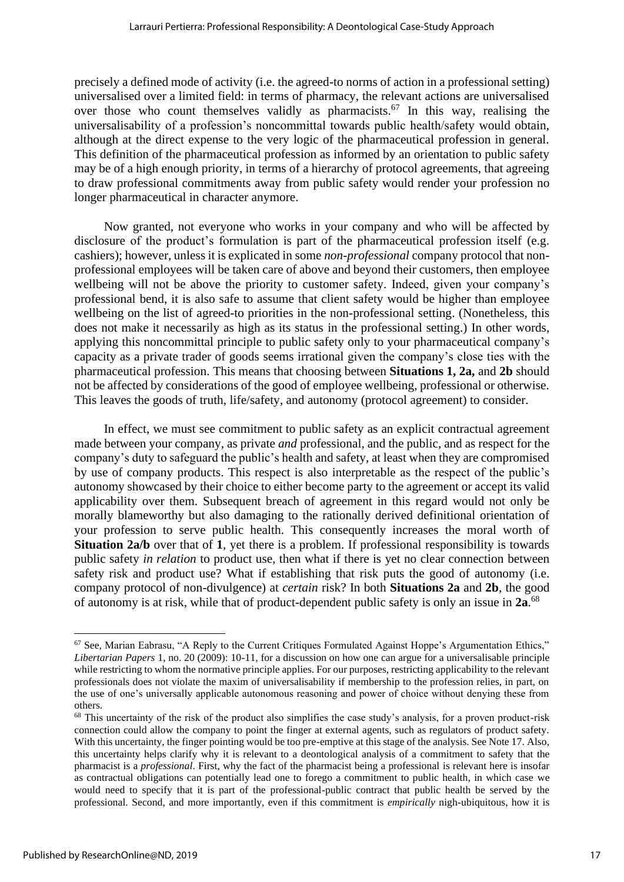precisely a defined mode of activity (i.e. the agreed-to norms of action in a professional setting) universalised over a limited field: in terms of pharmacy, the relevant actions are universalised over those who count themselves validly as pharmacists.<sup>67</sup> In this way, realising the universalisability of a profession's noncommittal towards public health/safety would obtain, although at the direct expense to the very logic of the pharmaceutical profession in general. This definition of the pharmaceutical profession as informed by an orientation to public safety may be of a high enough priority, in terms of a hierarchy of protocol agreements, that agreeing to draw professional commitments away from public safety would render your profession no longer pharmaceutical in character anymore.

Now granted, not everyone who works in your company and who will be affected by disclosure of the product's formulation is part of the pharmaceutical profession itself (e.g. cashiers); however, unless it is explicated in some *non-professional* company protocol that nonprofessional employees will be taken care of above and beyond their customers, then employee wellbeing will not be above the priority to customer safety. Indeed, given your company's professional bend, it is also safe to assume that client safety would be higher than employee wellbeing on the list of agreed-to priorities in the non-professional setting. (Nonetheless, this does not make it necessarily as high as its status in the professional setting.) In other words, applying this noncommittal principle to public safety only to your pharmaceutical company's capacity as a private trader of goods seems irrational given the company's close ties with the pharmaceutical profession. This means that choosing between **Situations 1, 2a,** and **2b** should not be affected by considerations of the good of employee wellbeing, professional or otherwise. This leaves the goods of truth, life/safety, and autonomy (protocol agreement) to consider.

In effect, we must see commitment to public safety as an explicit contractual agreement made between your company, as private *and* professional, and the public, and as respect for the company's duty to safeguard the public's health and safety, at least when they are compromised by use of company products. This respect is also interpretable as the respect of the public's autonomy showcased by their choice to either become party to the agreement or accept its valid applicability over them. Subsequent breach of agreement in this regard would not only be morally blameworthy but also damaging to the rationally derived definitional orientation of your profession to serve public health. This consequently increases the moral worth of **Situation 2a/b** over that of **1**, yet there is a problem. If professional responsibility is towards public safety *in relation* to product use, then what if there is yet no clear connection between safety risk and product use? What if establishing that risk puts the good of autonomy (i.e. company protocol of non-divulgence) at *certain* risk? In both **Situations 2a** and **2b**, the good of autonomy is at risk, while that of product-dependent public safety is only an issue in **2a**. 68

<sup>67</sup> See, Marian Eabrasu, "A Reply to the Current Critiques Formulated Against Hoppe's Argumentation Ethics," *Libertarian Papers* 1, no. 20 (2009): 10-11, for a discussion on how one can argue for a universalisable principle while restricting to whom the normative principle applies. For our purposes, restricting applicability to the relevant professionals does not violate the maxim of universalisability if membership to the profession relies, in part, on the use of one's universally applicable autonomous reasoning and power of choice without denying these from others.

<sup>&</sup>lt;sup>68</sup> This uncertainty of the risk of the product also simplifies the case study's analysis, for a proven product-risk connection could allow the company to point the finger at external agents, such as regulators of product safety. With this uncertainty, the finger pointing would be too pre-emptive at this stage of the analysis. See Note 17. Also, this uncertainty helps clarify why it is relevant to a deontological analysis of a commitment to safety that the pharmacist is a *professional*. First, why the fact of the pharmacist being a professional is relevant here is insofar as contractual obligations can potentially lead one to forego a commitment to public health, in which case we would need to specify that it is part of the professional-public contract that public health be served by the professional. Second, and more importantly, even if this commitment is *empirically* nigh-ubiquitous, how it is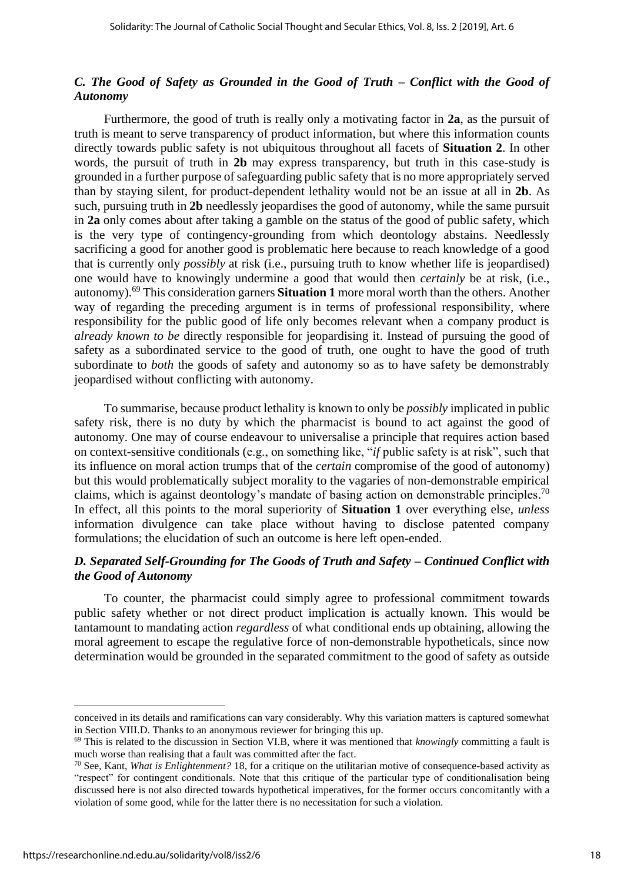#### *C. The Good of Safety as Grounded in the Good of Truth – Conflict with the Good of Autonomy*

Furthermore, the good of truth is really only a motivating factor in **2a**, as the pursuit of truth is meant to serve transparency of product information, but where this information counts directly towards public safety is not ubiquitous throughout all facets of **Situation 2**. In other words, the pursuit of truth in **2b** may express transparency, but truth in this case-study is grounded in a further purpose of safeguarding public safety that is no more appropriately served than by staying silent, for product-dependent lethality would not be an issue at all in **2b**. As such, pursuing truth in **2b** needlessly jeopardises the good of autonomy, while the same pursuit in **2a** only comes about after taking a gamble on the status of the good of public safety, which is the very type of contingency-grounding from which deontology abstains. Needlessly sacrificing a good for another good is problematic here because to reach knowledge of a good that is currently only *possibly* at risk (i.e., pursuing truth to know whether life is jeopardised) one would have to knowingly undermine a good that would then *certainly* be at risk, (i.e., autonomy). <sup>69</sup> This consideration garners **Situation 1** more moral worth than the others. Another way of regarding the preceding argument is in terms of professional responsibility, where responsibility for the public good of life only becomes relevant when a company product is *already known to be* directly responsible for jeopardising it. Instead of pursuing the good of safety as a subordinated service to the good of truth, one ought to have the good of truth subordinate to *both* the goods of safety and autonomy so as to have safety be demonstrably jeopardised without conflicting with autonomy.

To summarise, because product lethality is known to only be *possibly* implicated in public safety risk, there is no duty by which the pharmacist is bound to act against the good of autonomy. One may of course endeavour to universalise a principle that requires action based on context-sensitive conditionals (e.g., on something like, "*if* public safety is at risk", such that its influence on moral action trumps that of the *certain* compromise of the good of autonomy) but this would problematically subject morality to the vagaries of non-demonstrable empirical claims, which is against deontology's mandate of basing action on demonstrable principles.<sup>70</sup> In effect, all this points to the moral superiority of **Situation 1** over everything else, *unless* information divulgence can take place without having to disclose patented company formulations; the elucidation of such an outcome is here left open-ended.

#### *D. Separated Self-Grounding for The Goods of Truth and Safety – Continued Conflict with the Good of Autonomy*

To counter, the pharmacist could simply agree to professional commitment towards public safety whether or not direct product implication is actually known. This would be tantamount to mandating action *regardless* of what conditional ends up obtaining, allowing the moral agreement to escape the regulative force of non-demonstrable hypotheticals, since now determination would be grounded in the separated commitment to the good of safety as outside

conceived in its details and ramifications can vary considerably. Why this variation matters is captured somewhat in Section VIII.D. Thanks to an anonymous reviewer for bringing this up.

<sup>69</sup> This is related to the discussion in Section VI.B, where it was mentioned that *knowingly* committing a fault is much worse than realising that a fault was committed after the fact.

<sup>70</sup> See, Kant, *What is Enlightenment?* 18, for a critique on the utilitarian motive of consequence-based activity as "respect" for contingent conditionals. Note that this critique of the particular type of conditionalisation being discussed here is not also directed towards hypothetical imperatives, for the former occurs concomitantly with a violation of some good, while for the latter there is no necessitation for such a violation.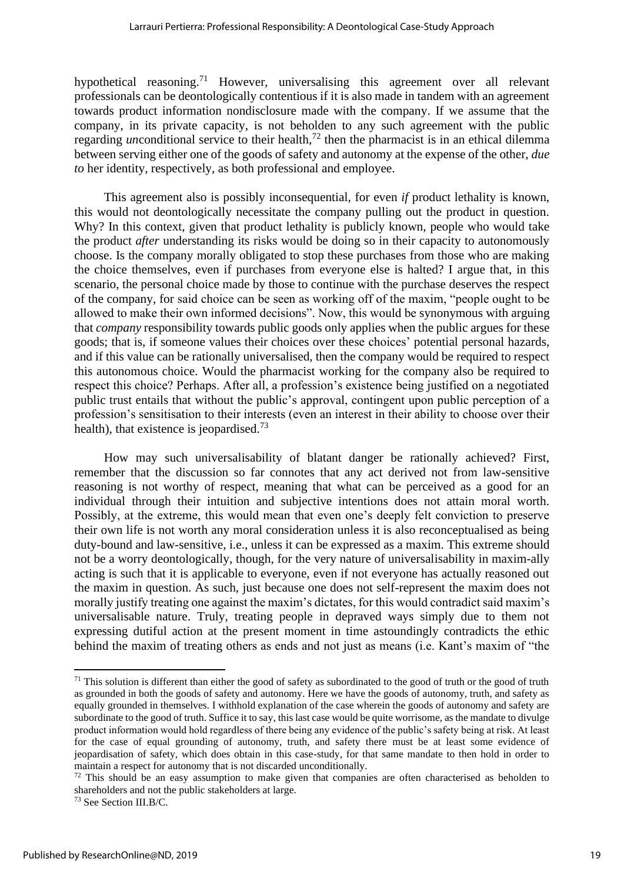hypothetical reasoning.<sup>71</sup> However, universalising this agreement over all relevant professionals can be deontologically contentious if it is also made in tandem with an agreement towards product information nondisclosure made with the company. If we assume that the company, in its private capacity, is not beholden to any such agreement with the public regarding *un*conditional service to their health,<sup> $72$ </sup> then the pharmacist is in an ethical dilemma between serving either one of the goods of safety and autonomy at the expense of the other, *due to* her identity, respectively, as both professional and employee.

This agreement also is possibly inconsequential, for even *if* product lethality is known, this would not deontologically necessitate the company pulling out the product in question. Why? In this context, given that product lethality is publicly known, people who would take the product *after* understanding its risks would be doing so in their capacity to autonomously choose. Is the company morally obligated to stop these purchases from those who are making the choice themselves, even if purchases from everyone else is halted? I argue that, in this scenario, the personal choice made by those to continue with the purchase deserves the respect of the company, for said choice can be seen as working off of the maxim, "people ought to be allowed to make their own informed decisions". Now, this would be synonymous with arguing that *company* responsibility towards public goods only applies when the public argues for these goods; that is, if someone values their choices over these choices' potential personal hazards, and if this value can be rationally universalised, then the company would be required to respect this autonomous choice. Would the pharmacist working for the company also be required to respect this choice? Perhaps. After all, a profession's existence being justified on a negotiated public trust entails that without the public's approval, contingent upon public perception of a profession's sensitisation to their interests (even an interest in their ability to choose over their health), that existence is jeopardised.<sup>73</sup>

How may such universalisability of blatant danger be rationally achieved? First, remember that the discussion so far connotes that any act derived not from law-sensitive reasoning is not worthy of respect, meaning that what can be perceived as a good for an individual through their intuition and subjective intentions does not attain moral worth. Possibly, at the extreme, this would mean that even one's deeply felt conviction to preserve their own life is not worth any moral consideration unless it is also reconceptualised as being duty-bound and law-sensitive, i.e., unless it can be expressed as a maxim. This extreme should not be a worry deontologically, though, for the very nature of universalisability in maxim-ally acting is such that it is applicable to everyone, even if not everyone has actually reasoned out the maxim in question. As such, just because one does not self-represent the maxim does not morally justify treating one against the maxim's dictates, for this would contradict said maxim's universalisable nature. Truly, treating people in depraved ways simply due to them not expressing dutiful action at the present moment in time astoundingly contradicts the ethic behind the maxim of treating others as ends and not just as means (i.e. Kant's maxim of "the

 $71$  This solution is different than either the good of safety as subordinated to the good of truth or the good of truth as grounded in both the goods of safety and autonomy. Here we have the goods of autonomy, truth, and safety as equally grounded in themselves. I withhold explanation of the case wherein the goods of autonomy and safety are subordinate to the good of truth. Suffice it to say, this last case would be quite worrisome, as the mandate to divulge product information would hold regardless of there being any evidence of the public's safety being at risk. At least for the case of equal grounding of autonomy, truth, and safety there must be at least some evidence of jeopardisation of safety, which does obtain in this case-study, for that same mandate to then hold in order to maintain a respect for autonomy that is not discarded unconditionally.

 $72$  This should be an easy assumption to make given that companies are often characterised as beholden to shareholders and not the public stakeholders at large.

<sup>73</sup> See Section III.B/C.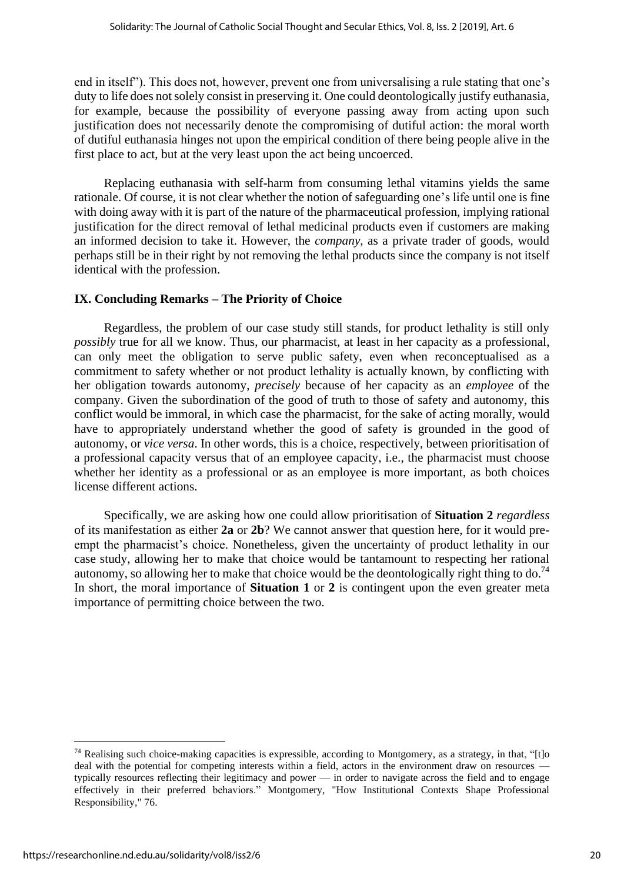end in itself"). This does not, however, prevent one from universalising a rule stating that one's duty to life does not solely consist in preserving it. One could deontologically justify euthanasia, for example, because the possibility of everyone passing away from acting upon such justification does not necessarily denote the compromising of dutiful action: the moral worth of dutiful euthanasia hinges not upon the empirical condition of there being people alive in the first place to act, but at the very least upon the act being uncoerced.

Replacing euthanasia with self-harm from consuming lethal vitamins yields the same rationale. Of course, it is not clear whether the notion of safeguarding one's life until one is fine with doing away with it is part of the nature of the pharmaceutical profession, implying rational justification for the direct removal of lethal medicinal products even if customers are making an informed decision to take it. However, the *company*, as a private trader of goods, would perhaps still be in their right by not removing the lethal products since the company is not itself identical with the profession.

#### **IX. Concluding Remarks – The Priority of Choice**

Regardless, the problem of our case study still stands, for product lethality is still only *possibly* true for all we know. Thus, our pharmacist, at least in her capacity as a professional, can only meet the obligation to serve public safety, even when reconceptualised as a commitment to safety whether or not product lethality is actually known, by conflicting with her obligation towards autonomy, *precisely* because of her capacity as an *employee* of the company. Given the subordination of the good of truth to those of safety and autonomy, this conflict would be immoral, in which case the pharmacist, for the sake of acting morally, would have to appropriately understand whether the good of safety is grounded in the good of autonomy, or *vice versa*. In other words, this is a choice, respectively, between prioritisation of a professional capacity versus that of an employee capacity, i.e., the pharmacist must choose whether her identity as a professional or as an employee is more important, as both choices license different actions.

Specifically, we are asking how one could allow prioritisation of **Situation 2** *regardless*  of its manifestation as either **2a** or **2b**? We cannot answer that question here, for it would preempt the pharmacist's choice. Nonetheless, given the uncertainty of product lethality in our case study, allowing her to make that choice would be tantamount to respecting her rational autonomy, so allowing her to make that choice would be the deontologically right thing to do.<sup>74</sup> In short, the moral importance of **Situation 1** or **2** is contingent upon the even greater meta importance of permitting choice between the two.

 $74$  Realising such choice-making capacities is expressible, according to Montgomery, as a strategy, in that, "[t]o deal with the potential for competing interests within a field, actors in the environment draw on resources typically resources reflecting their legitimacy and power — in order to navigate across the field and to engage effectively in their preferred behaviors." Montgomery, "How Institutional Contexts Shape Professional Responsibility," 76.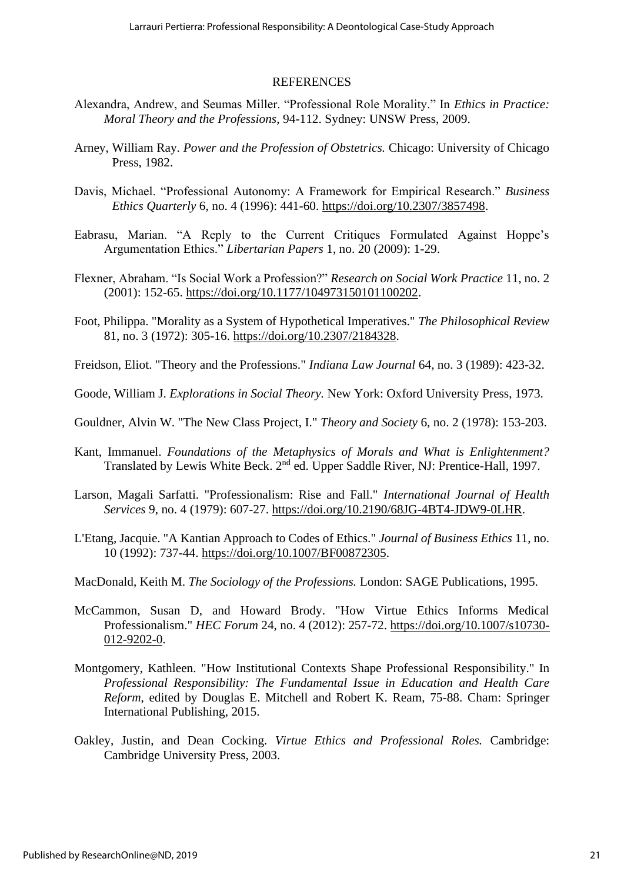#### REFERENCES

- Alexandra, Andrew, and Seumas Miller. "Professional Role Morality." In *Ethics in Practice: Moral Theory and the Professions*, 94-112. Sydney: UNSW Press, 2009.
- Arney, William Ray. *Power and the Profession of Obstetrics.* Chicago: University of Chicago Press, 1982.
- Davis, Michael. "Professional Autonomy: A Framework for Empirical Research." *Business Ethics Quarterly* 6, no. 4 (1996): 441-60. [https://doi.org/10.2307/3857498.](https://doi.org/10.2307/3857498)
- Eabrasu, Marian. "A Reply to the Current Critiques Formulated Against Hoppe's Argumentation Ethics." *Libertarian Papers* 1, no. 20 (2009): 1-29.
- Flexner, Abraham. "Is Social Work a Profession?" *Research on Social Work Practice* 11, no. 2 (2001): 152-65. [https://doi.org/10.1177/104973150101100202.](https://doi.org/10.1177/104973150101100202)
- Foot, Philippa. "Morality as a System of Hypothetical Imperatives." *The Philosophical Review* 81, no. 3 (1972): 305-16. [https://doi.org/10.2307/2184328.](https://doi.org/10.2307/2184328)
- Freidson, Eliot. "Theory and the Professions." *Indiana Law Journal* 64, no. 3 (1989): 423-32.
- Goode, William J. *Explorations in Social Theory.* New York: Oxford University Press, 1973.
- Gouldner, Alvin W. "The New Class Project, I." *Theory and Society* 6, no. 2 (1978): 153-203.
- Kant, Immanuel. *Foundations of the Metaphysics of Morals and What is Enlightenment?*  Translated by Lewis White Beck. 2<sup>nd</sup> ed. Upper Saddle River, NJ: Prentice-Hall, 1997.
- Larson, Magali Sarfatti. "Professionalism: Rise and Fall." *International Journal of Health Services* 9, no. 4 (1979): 607-27. [https://doi.org/10.2190/68JG-4BT4-JDW9-0LHR.](https://doi.org/10.2190/68JG-4BT4-JDW9-0LHR)
- L'Etang, Jacquie. "A Kantian Approach to Codes of Ethics." *Journal of Business Ethics* 11, no. 10 (1992): 737-44. [https://doi.org/10.1007/BF00872305.](https://doi.org/10.1007/BF00872305)
- MacDonald, Keith M. *The Sociology of the Professions.* London: SAGE Publications, 1995.
- McCammon, Susan D, and Howard Brody. "How Virtue Ethics Informs Medical Professionalism." *HEC Forum* 24, no. 4 (2012): 257-72. [https://doi.org/10.1007/s10730-](https://doi.org/10.1007/s10730-012-9202-0) [012-9202-0.](https://doi.org/10.1007/s10730-012-9202-0)
- Montgomery, Kathleen. "How Institutional Contexts Shape Professional Responsibility." In *Professional Responsibility: The Fundamental Issue in Education and Health Care Reform*, edited by Douglas E. Mitchell and Robert K. Ream, 75-88. Cham: Springer International Publishing, 2015.
- Oakley, Justin, and Dean Cocking. *Virtue Ethics and Professional Roles.* Cambridge: Cambridge University Press, 2003.